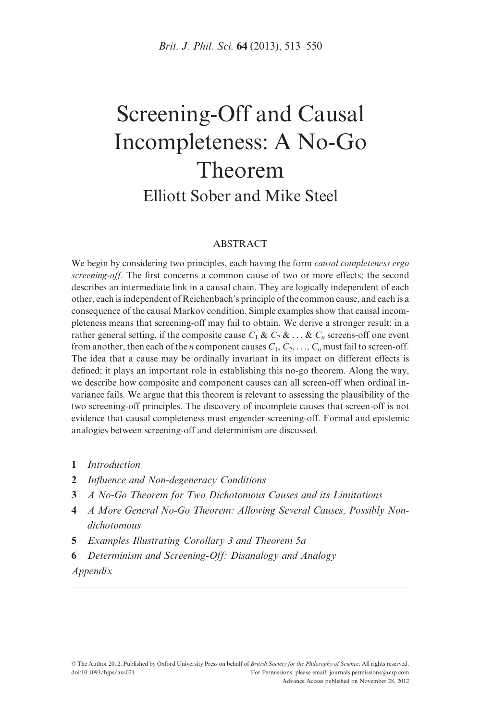# Screening-Off and Causal Incompleteness: A No-Go Theorem Elliott Sober and Mike Steel

# ABSTRACT

We begin by considering two principles, each having the form *causal completeness ergo* screening-off. The first concerns a common cause of two or more effects; the second describes an intermediate link in a causal chain. They are logically independent of each other, each is independent of Reichenbach's principle of the common cause, and each is a consequence of the causal Markov condition. Simple examples show that causal incompleteness means that screening-off may fail to obtain. We derive a stronger result: in a rather general setting, if the composite cause  $C_1 \& C_2 \& \dots \& C_n$  screens-off one event from another, then each of the *n* component causes  $C_1, C_2, \ldots, C_n$  must fail to screen-off. The idea that a cause may be ordinally invariant in its impact on different effects is defined; it plays an important role in establishing this no-go theorem. Along the way, we describe how composite and component causes can all screen-off when ordinal invariance fails. We argue that this theorem is relevant to assessing the plausibility of the two screening-off principles. The discovery of incomplete causes that screen-off is not evidence that causal completeness must engender screening-off. Formal and epistemic analogies between screening-off and determinism are discussed.

- 1 Introduction
- 2 Influence and Non-degeneracy Conditions
- 3 A No-Go Theorem for Two Dichotomous Causes and its Limitations
- 4 A More General No-Go Theorem: Allowing Several Causes, Possibly Nondichotomous
- 5 Examples Illustrating Corollary 3 and Theorem 5a
- 6 Determinism and Screening-Off: Disanalogy and Analogy Appendix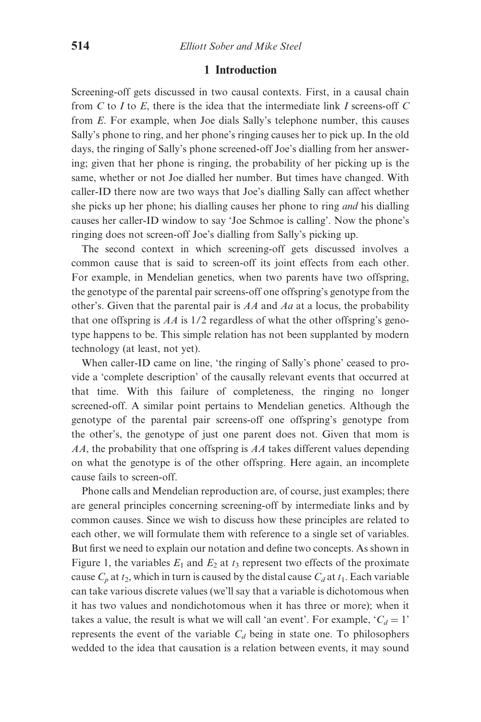# 1 Introduction

Screening-off gets discussed in two causal contexts. First, in a causal chain from  $C$  to  $I$  to  $E$ , there is the idea that the intermediate link  $I$  screens-off  $C$ from E. For example, when Joe dials Sally's telephone number, this causes Sally's phone to ring, and her phone's ringing causes her to pick up. In the old days, the ringing of Sally's phone screened-off Joe's dialling from her answering; given that her phone is ringing, the probability of her picking up is the same, whether or not Joe dialled her number. But times have changed. With caller-ID there now are two ways that Joe's dialling Sally can affect whether she picks up her phone; his dialling causes her phone to ring *and* his dialling causes her caller-ID window to say 'Joe Schmoe is calling'. Now the phone's ringing does not screen-off Joe's dialling from Sally's picking up.

The second context in which screening-off gets discussed involves a common cause that is said to screen-off its joint effects from each other. For example, in Mendelian genetics, when two parents have two offspring, the genotype of the parental pair screens-off one offspring's genotype from the other's. Given that the parental pair is  $AA$  and  $Aa$  at a locus, the probability that one offspring is  $AA$  is  $1/2$  regardless of what the other offspring's genotype happens to be. This simple relation has not been supplanted by modern technology (at least, not yet).

When caller-ID came on line, 'the ringing of Sally's phone' ceased to provide a 'complete description' of the causally relevant events that occurred at that time. With this failure of completeness, the ringing no longer screened-off. A similar point pertains to Mendelian genetics. Although the genotype of the parental pair screens-off one offspring's genotype from the other's, the genotype of just one parent does not. Given that mom is AA, the probability that one offspring is AA takes different values depending on what the genotype is of the other offspring. Here again, an incomplete cause fails to screen-off.

Phone calls and Mendelian reproduction are, of course, just examples; there are general principles concerning screening-off by intermediate links and by common causes. Since we wish to discuss how these principles are related to each other, we will formulate them with reference to a single set of variables. But first we need to explain our notation and define two concepts. As shown in [Figure 1,](#page-2-0) the variables  $E_1$  and  $E_2$  at  $t_3$  represent two effects of the proximate cause  $C_p$  at  $t_2$ , which in turn is caused by the distal cause  $C_d$  at  $t_1$ . Each variable can take various discrete values (we'll say that a variable is dichotomous when it has two values and nondichotomous when it has three or more); when it takes a value, the result is what we will call 'an event'. For example, ' $C_d = 1$ ' represents the event of the variable  $C_d$  being in state one. To philosophers wedded to the idea that causation is a relation between events, it may sound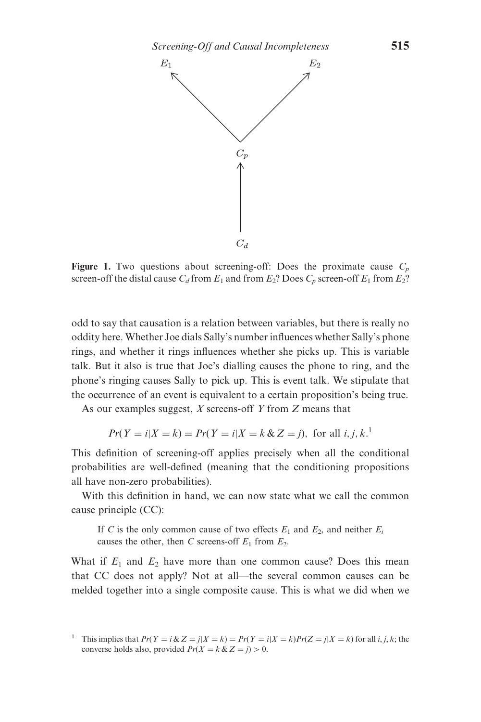<span id="page-2-0"></span>

Figure 1. Two questions about screening-off: Does the proximate cause  $C_p$ screen-off the distal cause  $C_d$  from  $E_1$  and from  $E_2$ ? Does  $C_p$  screen-off  $E_1$  from  $E_2$ ?

odd to say that causation is a relation between variables, but there is really no oddity here. Whether Joe dials Sally's number influences whether Sally's phone rings, and whether it rings influences whether she picks up. This is variable talk. But it also is true that Joe's dialling causes the phone to ring, and the phone's ringing causes Sally to pick up. This is event talk. We stipulate that the occurrence of an event is equivalent to a certain proposition's being true.

As our examples suggest,  $X$  screens-off  $Y$  from  $Z$  means that

$$
Pr(Y = i | X = k) = Pr(Y = i | X = k \& Z = j)
$$
, for all i, j, k.<sup>1</sup>

This definition of screening-off applies precisely when all the conditional probabilities are well-defined (meaning that the conditioning propositions all have non-zero probabilities).

With this definition in hand, we can now state what we call the common cause principle (CC):

If C is the only common cause of two effects  $E_1$  and  $E_2$ , and neither  $E_i$ causes the other, then C screens-off  $E_1$  from  $E_2$ .

What if  $E_1$  and  $E_2$  have more than one common cause? Does this mean that CC does not apply? Not at all—the several common causes can be melded together into a single composite cause. This is what we did when we

<sup>&</sup>lt;sup>1</sup> This implies that  $Pr(Y = i \& Z = j | X = k) = Pr(Y = i | X = k) Pr(Z = j | X = k)$  for all *i*, *j*, *k*; the converse holds also, provided  $Pr(X = k \& Z = j) > 0$ .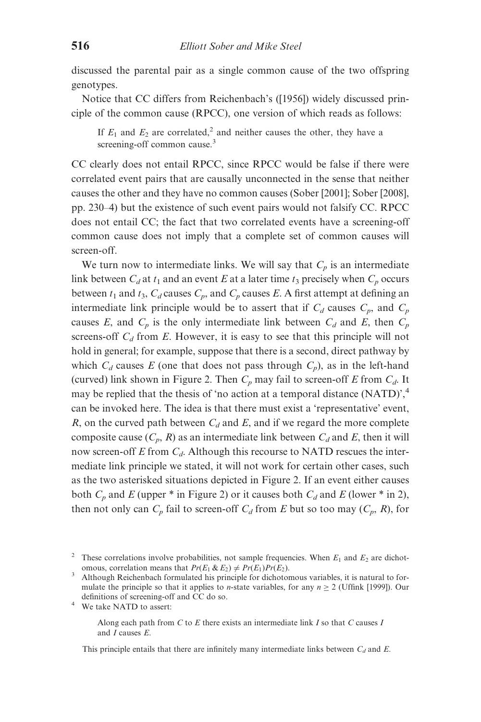discussed the parental pair as a single common cause of the two offspring genotypes.

Notice that CC differs from [Reichenbach's \(\[1956\]\)](#page-37-0) widely discussed principle of the common cause (RPCC), one version of which reads as follows:

If  $E_1$  and  $E_2$  are correlated,<sup>2</sup> and neither causes the other, they have a screening-off common cause.<sup>3</sup>

CC clearly does not entail RPCC, since RPCC would be false if there were correlated event pairs that are causally unconnected in the sense that neither causes the other and they have no common causes [\(Sober \[2001\]; Sober \[2008\],](#page-37-0) pp. 230–4) but the existence of such event pairs would not falsify CC. RPCC does not entail CC; the fact that two correlated events have a screening-off common cause does not imply that a complete set of common causes will screen-off.

We turn now to intermediate links. We will say that  $C_p$  is an intermediate link between  $C_d$  at  $t_1$  and an event E at a later time  $t_3$  precisely when  $C_p$  occurs between  $t_1$  and  $t_3$ ,  $C_d$  causes  $C_p$ , and  $C_p$  causes E. A first attempt at defining an intermediate link principle would be to assert that if  $C_d$  causes  $C_p$ , and  $C_p$ causes E, and  $C_p$  is the only intermediate link between  $C_d$  and E, then  $C_p$ screens-off  $C_d$  from E. However, it is easy to see that this principle will not hold in general; for example, suppose that there is a second, direct pathway by which  $C_d$  causes E (one that does not pass through  $C_p$ ), as in the left-hand (curved) link shown in [Figure 2.](#page-4-0) Then  $C_p$  may fail to screen-off E from  $C_d$ . It may be replied that the thesis of 'no action at a temporal distance (NATD)',<sup>4</sup> can be invoked here. The idea is that there must exist a 'representative' event, R, on the curved path between  $C_d$  and E, and if we regard the more complete composite cause  $(C_p, R)$  as an intermediate link between  $C_d$  and E, then it will now screen-off E from  $C_d$ . Although this recourse to NATD rescues the intermediate link principle we stated, it will not work for certain other cases, such as the two asterisked situations depicted in [Figure 2.](#page-4-0) If an event either causes both  $C_p$  and E (upper \* in [Figure 2\)](#page-4-0) or it causes both  $C_d$  and E (lower \* in 2), then not only can  $C_p$  fail to screen-off  $C_d$  from E but so too may  $(C_p, R)$ , for

Along each path from  $C$  to  $E$  there exists an intermediate link  $I$  so that  $C$  causes  $I$ and I causes E.

This principle entails that there are infinitely many intermediate links between  $C_d$  and E.

<sup>&</sup>lt;sup>2</sup> These correlations involve probabilities, not sample frequencies. When  $E_1$  and  $E_2$  are dichot-<br>omous, correlation means that  $Pr(E_1 \& E_2) \neq Pr(E_1) Pr(E_2)$ .

<sup>&</sup>lt;sup>3</sup> Although Reichenbach formulated his principle for dichotomous variables, it is natural to formulate the principle so that it applies to *n*-state variables, for any  $n \geq 2$  [\(Uffink \[1999\]\)](#page-37-0). Our definitions of screening-off and CC do so.<br>4 We take NATD to assert: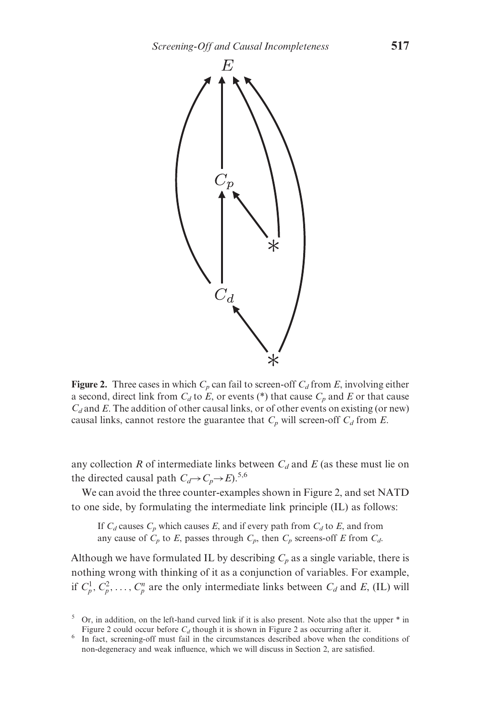<span id="page-4-0"></span>

Figure 2. Three cases in which  $C_p$  can fail to screen-off  $C_d$  from E, involving either a second, direct link from  $C_d$  to E, or events (\*) that cause  $C_p$  and E or that cause  $C_d$  and E. The addition of other causal links, or of other events on existing (or new) causal links, cannot restore the guarantee that  $C_p$  will screen-off  $C_d$  from E.

any collection R of intermediate links between  $C_d$  and E (as these must lie on the directed causal path  $C_d \rightarrow C_p \rightarrow E$ ).<sup>5,6</sup>

We can avoid the three counter-examples shown in Figure 2, and set NATD to one side, by formulating the intermediate link principle (IL) as follows:

If  $C_d$  causes  $C_p$  which causes E, and if every path from  $C_d$  to E, and from any cause of  $C_p$  to E, passes through  $C_p$ , then  $C_p$  screens-off E from  $C_d$ .

Although we have formulated IL by describing  $C_p$  as a single variable, there is nothing wrong with thinking of it as a conjunction of variables. For example, if  $C_p^1, C_p^2, \ldots, C_p^n$  are the only intermediate links between  $C_d$  and E, (IL) will

<sup>&</sup>lt;sup>5</sup> Or, in addition, on the left-hand curved link if it is also present. Note also that the upper  $*$  in Figure 2 could occur before  $C_d$  though it is shown in Figure 2 as occurring after it.

 $6$  In fact, screening-off must fail in the circumstances described above when the conditions of non-degeneracy and weak influence, which we will discuss in Section 2, are satisfied.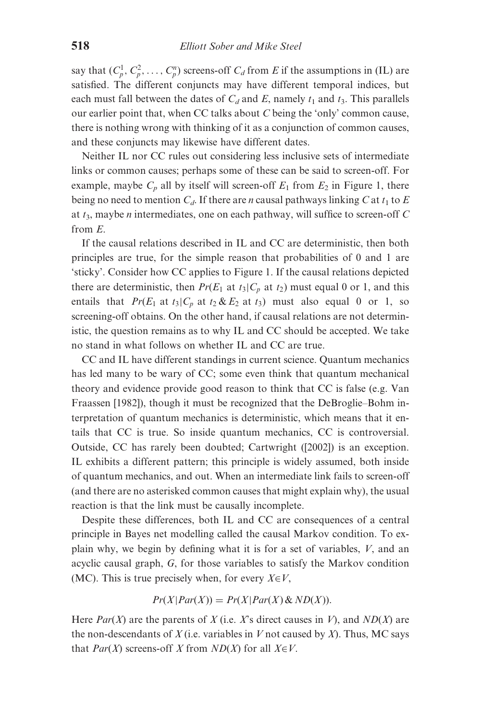say that  $(C_p^1, C_p^2, \ldots, C_p^n)$  screens-off  $C_d$  from  $E$  if the assumptions in (IL) are satisfied. The different conjuncts may have different temporal indices, but each must fall between the dates of  $C_d$  and E, namely  $t_1$  and  $t_3$ . This parallels our earlier point that, when CC talks about C being the 'only' common cause, there is nothing wrong with thinking of it as a conjunction of common causes, and these conjuncts may likewise have different dates.

Neither IL nor CC rules out considering less inclusive sets of intermediate links or common causes; perhaps some of these can be said to screen-off. For example, maybe  $C_p$  all by itself will screen-off  $E_1$  from  $E_2$  in [Figure 1,](#page-2-0) there being no need to mention  $C_d$ . If there are *n* causal pathways linking C at  $t_1$  to E at  $t_3$ , maybe *n* intermediates, one on each pathway, will suffice to screen-off  $C$ from E.

If the causal relations described in IL and CC are deterministic, then both principles are true, for the simple reason that probabilities of 0 and 1 are 'sticky'. Consider how CC applies to [Figure 1.](#page-2-0) If the causal relations depicted there are deterministic, then  $Pr(E_1 \text{ at } t_3 | C_p \text{ at } t_2)$  must equal 0 or 1, and this entails that  $Pr(E_1 \text{ at } t_3 | C_p \text{ at } t_2 \& E_2 \text{ at } t_3)$  must also equal 0 or 1, so screening-off obtains. On the other hand, if causal relations are not deterministic, the question remains as to why IL and CC should be accepted. We take no stand in what follows on whether IL and CC are true.

CC and IL have different standings in current science. Quantum mechanics has led many to be wary of CC; some even think that quantum mechanical theory and evidence provide good reason to think that CC is false (e.g. [Van](#page-37-0) [Fraassen \[1982\]\)](#page-37-0), though it must be recognized that the DeBroglie–Bohm interpretation of quantum mechanics is deterministic, which means that it entails that CC is true. So inside quantum mechanics, CC is controversial. Outside, CC has rarely been doubted; [Cartwright \(\[2002\]\)](#page-36-0) is an exception. IL exhibits a different pattern; this principle is widely assumed, both inside of quantum mechanics, and out. When an intermediate link fails to screen-off (and there are no asterisked common causes that might explain why), the usual reaction is that the link must be causally incomplete.

Despite these differences, both IL and CC are consequences of a central principle in Bayes net modelling called the causal Markov condition. To explain why, we begin by defining what it is for a set of variables, V, and an acyclic causal graph, G, for those variables to satisfy the Markov condition (MC). This is true precisely when, for every  $X \in V$ ,

$$
Pr(X|Par(X)) = Pr(X|Par(X) \& ND(X)).
$$

Here Par(X) are the parents of X (i.e. X's direct causes in V), and  $ND(X)$  are the non-descendants of  $X$  (i.e. variables in  $V$  not caused by  $X$ ). Thus, MC says that  $Par(X)$  screens-off X from  $ND(X)$  for all  $X \in V$ .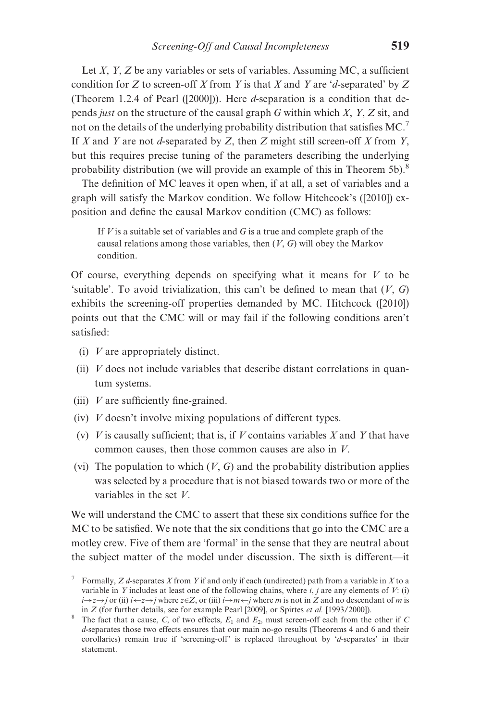Let  $X$ ,  $Y$ ,  $Z$  be any variables or sets of variables. Assuming MC, a sufficient condition for Z to screen-off X from Y is that X and Y are 'd-separated' by Z (Theorem 1.2.4 of [Pearl \(\[2000\]\)](#page-37-0)). Here d-separation is a condition that depends just on the structure of the causal graph  $G$  within which  $X$ ,  $Y$ ,  $Z$  sit, and not on the details of the underlying probability distribution that satisfies MC.<sup>7</sup> If X and Y are not d-separated by Z, then Z might still screen-off X from Y, but this requires precise tuning of the parameters describing the underlying probability distribution (we will provide an example of this in Theorem 5b).8

The definition of MC leaves it open when, if at all, a set of variables and a graph will satisfy the Markov condition. We follow [Hitchcock's \(\[2010\]\)](#page-36-0) exposition and define the causal Markov condition (CMC) as follows:

If  $V$  is a suitable set of variables and  $G$  is a true and complete graph of the causal relations among those variables, then  $(V, G)$  will obey the Markov condition.

Of course, everything depends on specifying what it means for  $V$  to be 'suitable'. To avoid trivialization, this can't be defined to mean that  $(V, G)$ exhibits the screening-off properties demanded by MC. [Hitchcock \(\[2010\]](#page-36-0)) points out that the CMC will or may fail if the following conditions aren't satisfied:

- (i)  $V$  are appropriately distinct.
- (ii)  $V$  does not include variables that describe distant correlations in quantum systems.
- (iii)  $V$  are sufficiently fine-grained.
- (iv) V doesn't involve mixing populations of different types.
- (v)  $V$  is causally sufficient; that is, if  $V$  contains variables  $X$  and  $Y$  that have common causes, then those common causes are also in V.
- (vi) The population to which  $(V, G)$  and the probability distribution applies was selected by a procedure that is not biased towards two or more of the variables in the set V.

We will understand the CMC to assert that these six conditions suffice for the MC to be satisfied. We note that the six conditions that go into the CMC are a motley crew. Five of them are 'formal' in the sense that they are neutral about the subject matter of the model under discussion. The sixth is different—it

<sup>&</sup>lt;sup>7</sup> Formally, *Z* d-separates *X* from *Y* if and only if each (undirected) path from a variable in *X* to a variable in Y includes at least one of the following chains, where  $i$ , j are any elements of  $V$ : (i)  $i \rightarrow z \rightarrow j$  or (ii)  $i \leftarrow z \rightarrow j$  where  $z \in Z$ , or (iii)  $i \rightarrow m \leftarrow j$  where m is not in Z and no descendant of m is in Z (for further details, see for example Pearl [2009], or Spirtes *et al.* [1993/2000]).

<sup>&</sup>lt;sup>8</sup> The fact that a cause, C, of two effects,  $E_1$  and  $E_2$ , must screen-off each from the other if C d-separates those two effects ensures that our main no-go results (Theorems 4 and 6 and their corollaries) remain true if 'screening-off' is replaced throughout by 'd-separates' in their statement.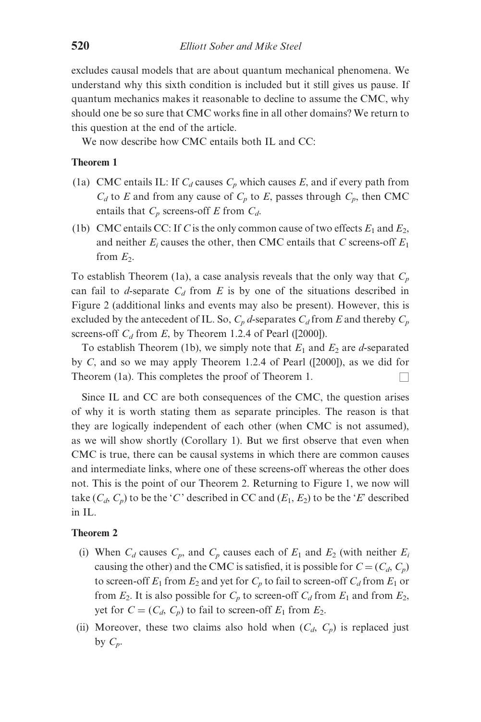excludes causal models that are about quantum mechanical phenomena. We understand why this sixth condition is included but it still gives us pause. If quantum mechanics makes it reasonable to decline to assume the CMC, why should one be so sure that CMC works fine in all other domains? We return to this question at the end of the article.

We now describe how CMC entails both IL and CC:

# Theorem 1

- (1a) CMC entails IL: If  $C_d$  causes  $C_p$  which causes E, and if every path from  $C_d$  to E and from any cause of  $C_p$  to E, passes through  $C_p$ , then CMC entails that  $C_p$  screens-off E from  $C_d$ .
- (1b) CMC entails CC: If C is the only common cause of two effects  $E_1$  and  $E_2$ , and neither  $E_i$  causes the other, then CMC entails that C screens-off  $E_1$ from  $E_2$ .

To establish Theorem (1a), a case analysis reveals that the only way that  $C_p$ can fail to d-separate  $C_d$  from E is by one of the situations described in [Figure 2](#page-4-0) (additional links and events may also be present). However, this is excluded by the antecedent of IL. So,  $C_p$  d-separates  $C_d$  from E and thereby  $C_p$ screens-off  $C_d$  from E, by Theorem 1.2.4 of [Pearl \(\[2000\]\).](#page-37-0)

To establish Theorem (1b), we simply note that  $E_1$  and  $E_2$  are *d*-separated by C, and so we may apply Theorem 1.2.4 of [Pearl \(\[2000\]\)](#page-37-0), as we did for Theorem (1a). This completes the proof of Theorem 1.

Since IL and CC are both consequences of the CMC, the question arises of why it is worth stating them as separate principles. The reason is that they are logically independent of each other (when CMC is not assumed), as we will show shortly (Corollary 1). But we first observe that even when CMC is true, there can be causal systems in which there are common causes and intermediate links, where one of these screens-off whereas the other does not. This is the point of our Theorem 2. Returning to [Figure 1](#page-2-0), we now will take  $(C_d, C_p)$  to be the 'C' described in CC and  $(E_1, E_2)$  to be the 'E' described in IL.

#### Theorem 2

- (i) When  $C_d$  causes  $C_p$ , and  $C_p$  causes each of  $E_1$  and  $E_2$  (with neither  $E_i$ causing the other) and the CMC is satisfied, it is possible for  $C = (C_d, C_p)$ to screen-off  $E_1$  from  $E_2$  and yet for  $C_p$  to fail to screen-off  $C_d$  from  $E_1$  or from  $E_2$ . It is also possible for  $C_p$  to screen-off  $C_d$  from  $E_1$  and from  $E_2$ , yet for  $C = (C_d, C_p)$  to fail to screen-off  $E_1$  from  $E_2$ .
- (ii) Moreover, these two claims also hold when  $(C_d, C_p)$  is replaced just by  $C_p$ .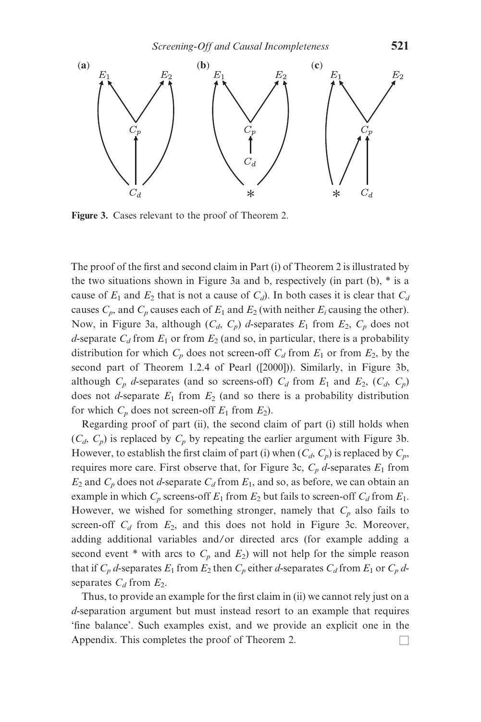<span id="page-8-0"></span>

Figure 3. Cases relevant to the proof of Theorem 2.

The proof of the first and second claim in Part (i) of Theorem 2 is illustrated by the two situations shown in Figure 3a and b, respectively (in part (b), \* is a cause of  $E_1$  and  $E_2$  that is not a cause of  $C_d$ ). In both cases it is clear that  $C_d$ causes  $C_p$ , and  $C_p$  causes each of  $E_1$  and  $E_2$  (with neither  $E_i$  causing the other). Now, in Figure 3a, although  $(C_d, C_p)$  d-separates  $E_1$  from  $E_2, C_p$  does not d-separate  $C_d$  from  $E_1$  or from  $E_2$  (and so, in particular, there is a probability distribution for which  $C_p$  does not screen-off  $C_d$  from  $E_1$  or from  $E_2$ , by the second part of Theorem 1.2.4 of [Pearl \(\[2000\]\)](#page-37-0)). Similarly, in Figure 3b, although  $C_p$  d-separates (and so screens-off)  $C_d$  from  $E_1$  and  $E_2$ ,  $(C_d, C_p)$ does not *d*-separate  $E_1$  from  $E_2$  (and so there is a probability distribution for which  $C_p$  does not screen-off  $E_1$  from  $E_2$ ).

Regarding proof of part (ii), the second claim of part (i) still holds when  $(C_d, C_p)$  is replaced by  $C_p$  by repeating the earlier argument with Figure 3b. However, to establish the first claim of part (i) when  $(C_d, C_p)$  is replaced by  $C_p$ , requires more care. First observe that, for Figure 3c,  $C_p$  d-separates  $E_1$  from  $E_2$  and  $C_p$  does not *d*-separate  $C_d$  from  $E_1$ , and so, as before, we can obtain an example in which  $C_p$  screens-off  $E_1$  from  $E_2$  but fails to screen-off  $C_d$  from  $E_1$ . However, we wished for something stronger, namely that  $C_p$  also fails to screen-off  $C_d$  from  $E_2$ , and this does not hold in Figure 3c. Moreover, adding additional variables and/or directed arcs (for example adding a second event \* with arcs to  $C_p$  and  $E_2$ ) will not help for the simple reason that if  $C_p$  d-separates  $E_1$  from  $E_2$  then  $C_p$  either d-separates  $C_d$  from  $E_1$  or  $C_p$  dseparates  $C_d$  from  $E_2$ .

Thus, to provide an example for the first claim in (ii) we cannot rely just on a d-separation argument but must instead resort to an example that requires 'fine balance'. Such examples exist, and we provide an explicit one in the Appendix. This completes the proof of Theorem 2.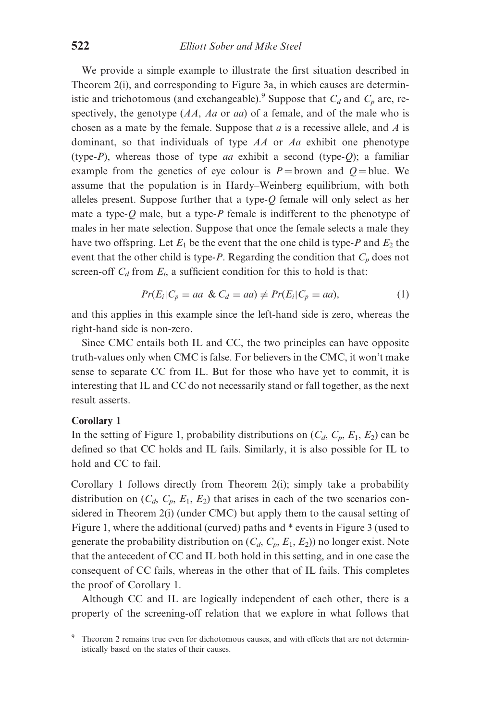We provide a simple example to illustrate the first situation described in Theorem 2(i), and corresponding to [Figure 3](#page-8-0)a, in which causes are deterministic and trichotomous (and exchangeable).<sup>9</sup> Suppose that  $C_d$  and  $C_p$  are, respectively, the genotype  $(AA, Aa$  or aa) of a female, and of the male who is chosen as a mate by the female. Suppose that  $a$  is a recessive allele, and  $A$  is dominant, so that individuals of type  $AA$  or  $Aa$  exhibit one phenotype (type-P), whereas those of type *aa* exhibit a second (type-Q); a familiar example from the genetics of eye colour is  $P =$ brown and  $Q =$ blue. We assume that the population is in Hardy–Weinberg equilibrium, with both alleles present. Suppose further that a type- $O$  female will only select as her mate a type- $Q$  male, but a type- $P$  female is indifferent to the phenotype of males in her mate selection. Suppose that once the female selects a male they have two offspring. Let  $E_1$  be the event that the one child is type-P and  $E_2$  the event that the other child is type-P. Regarding the condition that  $C_p$  does not screen-off  $C_d$  from  $E_i$ , a sufficient condition for this to hold is that:

$$
Pr(E_i|C_p = aa \& C_d = aa) \neq Pr(E_i|C_p = aa),
$$
\n(1)

and this applies in this example since the left-hand side is zero, whereas the right-hand side is non-zero.

Since CMC entails both IL and CC, the two principles can have opposite truth-values only when CMC is false. For believers in the CMC, it won't make sense to separate CC from IL. But for those who have yet to commit, it is interesting that IL and CC do not necessarily stand or fall together, as the next result asserts.

#### Corollary 1

In the setting of [Figure 1](#page-2-0), probability distributions on  $(C_d, C_p, E_1, E_2)$  can be defined so that CC holds and IL fails. Similarly, it is also possible for IL to hold and CC to fail.

Corollary 1 follows directly from Theorem 2(i); simply take a probability distribution on  $(C_d, C_p, E_1, E_2)$  that arises in each of the two scenarios considered in Theorem 2(i) (under CMC) but apply them to the causal setting of [Figure 1](#page-2-0), where the additional (curved) paths and \* events in [Figure 3](#page-8-0) (used to generate the probability distribution on  $(C_d, C_p, E_1, E_2)$  no longer exist. Note that the antecedent of CC and IL both hold in this setting, and in one case the consequent of CC fails, whereas in the other that of IL fails. This completes the proof of Corollary 1.

Although CC and IL are logically independent of each other, there is a property of the screening-off relation that we explore in what follows that

Theorem 2 remains true even for dichotomous causes, and with effects that are not deterministically based on the states of their causes.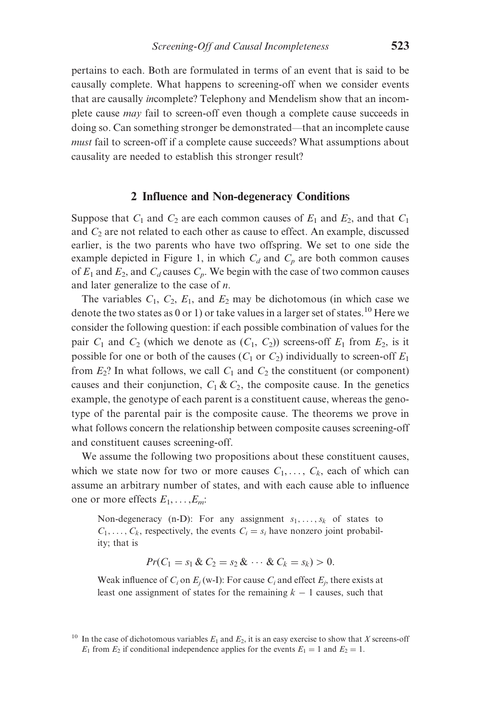pertains to each. Both are formulated in terms of an event that is said to be causally complete. What happens to screening-off when we consider events that are causally incomplete? Telephony and Mendelism show that an incomplete cause may fail to screen-off even though a complete cause succeeds in doing so. Can something stronger be demonstrated—that an incomplete cause must fail to screen-off if a complete cause succeeds? What assumptions about causality are needed to establish this stronger result?

# 2 Influence and Non-degeneracy Conditions

Suppose that  $C_1$  and  $C_2$  are each common causes of  $E_1$  and  $E_2$ , and that  $C_1$ and  $C_2$  are not related to each other as cause to effect. An example, discussed earlier, is the two parents who have two offspring. We set to one side the example depicted in [Figure 1,](#page-2-0) in which  $C_d$  and  $C_p$  are both common causes of  $E_1$  and  $E_2$ , and  $C_d$  causes  $C_p$ . We begin with the case of two common causes and later generalize to the case of n.

The variables  $C_1$ ,  $C_2$ ,  $E_1$ , and  $E_2$  may be dichotomous (in which case we denote the two states as 0 or 1) or take values in a larger set of states.<sup>10</sup> Here we consider the following question: if each possible combination of values for the pair  $C_1$  and  $C_2$  (which we denote as  $(C_1, C_2)$ ) screens-off  $E_1$  from  $E_2$ , is it possible for one or both of the causes ( $C_1$  or  $C_2$ ) individually to screen-off  $E_1$ from  $E_2$ ? In what follows, we call  $C_1$  and  $C_2$  the constituent (or component) causes and their conjunction,  $C_1 \& C_2$ , the composite cause. In the genetics example, the genotype of each parent is a constituent cause, whereas the genotype of the parental pair is the composite cause. The theorems we prove in what follows concern the relationship between composite causes screening-off and constituent causes screening-off.

We assume the following two propositions about these constituent causes, which we state now for two or more causes  $C_1, \ldots, C_k$ , each of which can assume an arbitrary number of states, and with each cause able to influence one or more effects  $E_1, \ldots, E_m$ :

Non-degeneracy (n-D): For any assignment  $s_1, \ldots, s_k$  of states to  $C_1, \ldots, C_k$ , respectively, the events  $C_i = s_i$  have nonzero joint probability; that is

$$
Pr(C_1 = s_1 \& C_2 = s_2 \& \cdots \& C_k = s_k) > 0.
$$

Weak influence of  $C_i$  on  $E_i$  (w-I): For cause  $C_i$  and effect  $E_i$ , there exists at least one assignment of states for the remaining  $k - 1$  causes, such that

<sup>&</sup>lt;sup>10</sup> In the case of dichotomous variables  $E_1$  and  $E_2$ , it is an easy exercise to show that X screens-off  $E_1$  from  $E_2$  if conditional independence applies for the events  $E_1 = 1$  and  $E_2 = 1$ .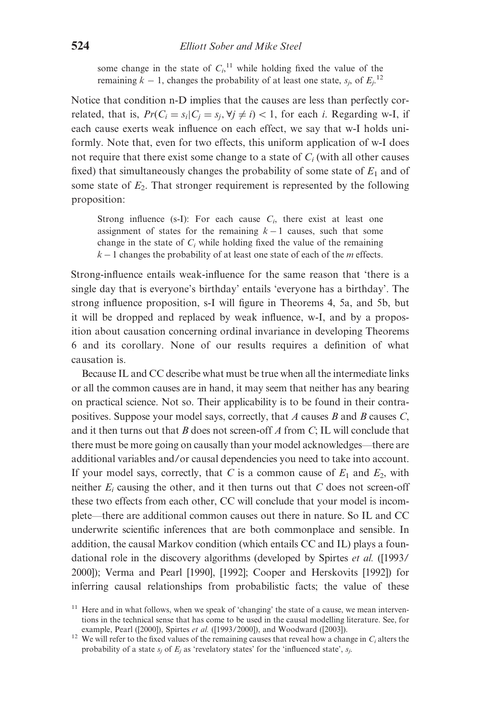some change in the state of  $C_i$ <sup>11</sup> while holding fixed the value of the remaining  $k - 1$ , changes the probability of at least one state,  $s_j$ , of  $E_j$ .<sup>12</sup>

Notice that condition n-D implies that the causes are less than perfectly correlated, that is,  $Pr(C_i = s_i | C_i = s_i, \forall i \neq i)$  < 1, for each i. Regarding w-I, if each cause exerts weak influence on each effect, we say that w-I holds uniformly. Note that, even for two effects, this uniform application of w-I does not require that there exist some change to a state of  $C_i$  (with all other causes fixed) that simultaneously changes the probability of some state of  $E_1$  and of some state of  $E<sub>2</sub>$ . That stronger requirement is represented by the following proposition:

Strong influence (s-I): For each cause  $C_i$ , there exist at least one assignment of states for the remaining  $k - 1$  causes, such that some change in the state of  $C_i$  while holding fixed the value of the remaining  $k-1$  changes the probability of at least one state of each of the *m* effects.

Strong-influence entails weak-influence for the same reason that 'there is a single day that is everyone's birthday' entails 'everyone has a birthday'. The strong influence proposition, s-I will figure in Theorems 4, 5a, and 5b, but it will be dropped and replaced by weak influence, w-I, and by a proposition about causation concerning ordinal invariance in developing Theorems 6 and its corollary. None of our results requires a definition of what causation is.

Because IL and CC describe what must be true when all the intermediate links or all the common causes are in hand, it may seem that neither has any bearing on practical science. Not so. Their applicability is to be found in their contrapositives. Suppose your model says, correctly, that  $A$  causes  $B$  and  $B$  causes  $C$ , and it then turns out that  $B$  does not screen-off  $A$  from  $C$ ; IL will conclude that there must be more going on causally than your model acknowledges—there are additional variables and/or causal dependencies you need to take into account. If your model says, correctly, that C is a common cause of  $E_1$  and  $E_2$ , with neither  $E_i$  causing the other, and it then turns out that  $C$  does not screen-off these two effects from each other, CC will conclude that your model is incomplete—there are additional common causes out there in nature. So IL and CC underwrite scientific inferences that are both commonplace and sensible. In addition, the causal Markov condition (which entails CC and IL) plays a foun-dational role in the discovery algorithms (developed by Spirtes et al. [\(\[1993/](#page-37-0) [2000\]\); Verma and Pearl \[1990\], \[1992\];](#page-37-0) [Cooper and Herskovits \[1992\]](#page-36-0)) for inferring causal relationships from probabilistic facts; the value of these

 $11$  Here and in what follows, when we speak of 'changing' the state of a cause, we mean interventions in the technical sense that has come to be used in the causal modelling literature. See, for example, Pearl ( $[2000]$ ), Spirtes *et al.* ( $[1993/2000]$ ), and Woodward ( $[2003]$ ).

<sup>&</sup>lt;sup>12</sup> We will refer to the fixed values of the remaining causes that reveal how a change in  $C_i$  alters the probability of a state  $s_i$  of  $E_i$  as 'revelatory states' for the 'influenced state',  $s_i$ .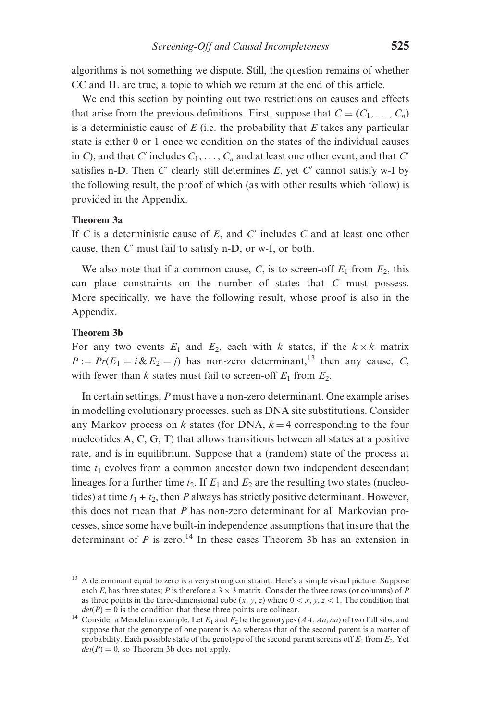algorithms is not something we dispute. Still, the question remains of whether CC and IL are true, a topic to which we return at the end of this article.

We end this section by pointing out two restrictions on causes and effects that arise from the previous definitions. First, suppose that  $C = (C_1, \ldots, C_n)$ is a deterministic cause of  $E$  (i.e. the probability that  $E$  takes any particular state is either 0 or 1 once we condition on the states of the individual causes in C), and that C' includes  $C_1, \ldots, C_n$  and at least one other event, and that C' satisfies n-D. Then  $C'$  clearly still determines  $E$ , yet  $C'$  cannot satisfy w-I by the following result, the proof of which (as with other results which follow) is provided in the Appendix.

# Theorem 3a

If C is a deterministic cause of E, and  $C'$  includes C and at least one other cause, then  $C'$  must fail to satisfy n-D, or w-I, or both.

We also note that if a common cause, C, is to screen-off  $E_1$  from  $E_2$ , this can place constraints on the number of states that C must possess. More specifically, we have the following result, whose proof is also in the Appendix.

# Theorem 3b

For any two events  $E_1$  and  $E_2$ , each with k states, if the  $k \times k$  matrix  $P := Pr(E_1 = i \& E_2 = j)$  has non-zero determinant,<sup>13</sup> then any cause, C, with fewer than k states must fail to screen-off  $E_1$  from  $E_2$ .

In certain settings, P must have a non-zero determinant. One example arises in modelling evolutionary processes, such as DNA site substitutions. Consider any Markov process on k states (for DNA,  $k = 4$  corresponding to the four nucleotides A, C, G, T) that allows transitions between all states at a positive rate, and is in equilibrium. Suppose that a (random) state of the process at time  $t_1$  evolves from a common ancestor down two independent descendant lineages for a further time  $t_2$ . If  $E_1$  and  $E_2$  are the resulting two states (nucleotides) at time  $t_1 + t_2$ , then P always has strictly positive determinant. However, this does not mean that P has non-zero determinant for all Markovian processes, since some have built-in independence assumptions that insure that the determinant of  $P$  is zero.<sup>14</sup> In these cases Theorem 3b has an extension in

<sup>&</sup>lt;sup>13</sup> A determinant equal to zero is a very strong constraint. Here's a simple visual picture. Suppose each  $E_i$  has three states; P is therefore a 3  $\times$  3 matrix. Consider the three rows (or columns) of P as three points in the three-dimensional cube  $(x, y, z)$  where  $0 < x, y, z < 1$ . The condition that  $det(P) = 0$  is the condition that these three points are colinear.

<sup>&</sup>lt;sup>14</sup> Consider a Mendelian example. Let  $E_1$  and  $E_2$  be the genotypes (AA, Aa, aa) of two full sibs, and suppose that the genotype of one parent is Aa whereas that of the second parent is a matter of probability. Each possible state of the genotype of the second parent screens off  $E_1$  from  $E_2$ . Yet  $det(P) = 0$ , so Theorem 3b does not apply.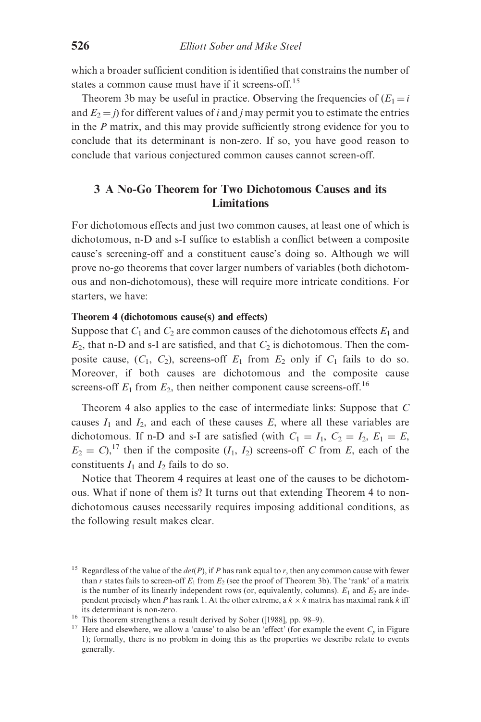which a broader sufficient condition is identified that constrains the number of states a common cause must have if it screens-off.<sup>15</sup>

Theorem 3b may be useful in practice. Observing the frequencies of  $(E_1 = i$ and  $E_2 = i$ ) for different values of i and j may permit you to estimate the entries in the  $P$  matrix, and this may provide sufficiently strong evidence for you to conclude that its determinant is non-zero. If so, you have good reason to conclude that various conjectured common causes cannot screen-off.

# 3 A No-Go Theorem for Two Dichotomous Causes and its **Limitations**

For dichotomous effects and just two common causes, at least one of which is dichotomous, n-D and s-I suffice to establish a conflict between a composite cause's screening-off and a constituent cause's doing so. Although we will prove no-go theorems that cover larger numbers of variables (both dichotomous and non-dichotomous), these will require more intricate conditions. For starters, we have:

# Theorem 4 (dichotomous cause(s) and effects)

Suppose that  $C_1$  and  $C_2$  are common causes of the dichotomous effects  $E_1$  and  $E_2$ , that n-D and s-I are satisfied, and that  $C_2$  is dichotomous. Then the composite cause,  $(C_1, C_2)$ , screens-off  $E_1$  from  $E_2$  only if  $C_1$  fails to do so. Moreover, if both causes are dichotomous and the composite cause screens-off  $E_1$  from  $E_2$ , then neither component cause screens-off.<sup>16</sup>

Theorem 4 also applies to the case of intermediate links: Suppose that C causes  $I_1$  and  $I_2$ , and each of these causes E, where all these variables are dichotomous. If n-D and s-I are satisfied (with  $C_1 = I_1$ ,  $C_2 = I_2$ ,  $E_1 = E$ ,  $E_2 = C$ ),<sup>17</sup> then if the composite  $(I_1, I_2)$  screens-off C from E, each of the constituents  $I_1$  and  $I_2$  fails to do so.

Notice that Theorem 4 requires at least one of the causes to be dichotomous. What if none of them is? It turns out that extending Theorem 4 to nondichotomous causes necessarily requires imposing additional conditions, as the following result makes clear.

<sup>&</sup>lt;sup>15</sup> Regardless of the value of the  $det(P)$ , if P has rank equal to r, then any common cause with fewer than r states fails to screen-off  $E_1$  from  $E_2$  (see the proof of Theorem 3b). The 'rank' of a matrix is the number of its linearly independent rows (or, equivalently, columns).  $E_1$  and  $E_2$  are independent precisely when P has rank 1. At the other extreme, a  $k \times k$  matrix has maximal rank k iff its determinant is non-zero.

<sup>&</sup>lt;sup>16</sup> This theorem strengthens a result derived by [Sober \(\[1988\]](#page-37-0), pp. 98–9). <sup>17</sup> Here and elsewhere, we allow a 'cause' to also be an 'effect' (for example the event  $C_p$  in [Figure](#page-2-0) [1\)](#page-2-0); formally, there is no problem in doing this as the properties we describe relate to events generally.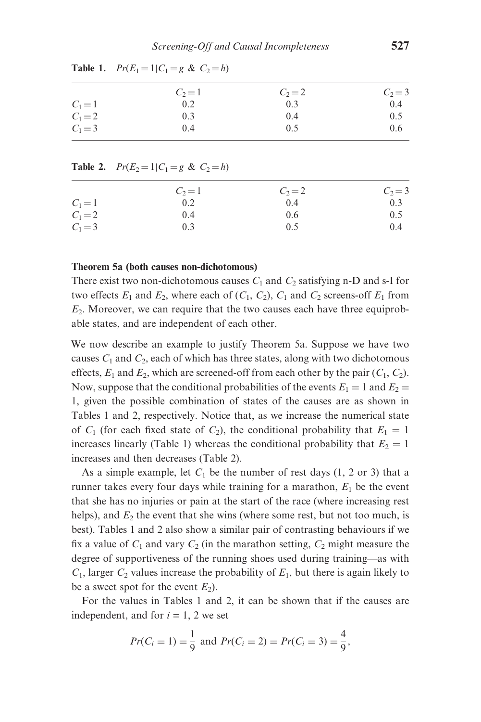|           | $C_2 = 1$ | $C_2 = 2$ | $C_2 = 3$     |
|-----------|-----------|-----------|---------------|
| $C_1 = 1$ | 0.2       | 0.3       | $0.4^{\circ}$ |
| $C_1 = 2$ | 0.3       | 0.4       | 0.5           |
| $C_1 = 3$ | 0.4       | 0.5       | 0.6           |

<span id="page-14-0"></span>Table 1.  $Pr(E_1 = 1 | C_1 = g \& C_2 = h)$ 

# Table 2.  $Pr(E_2 = 1 | C_1 = g \& C_2 = h)$

|           | $C_2 = 1$ | $C_2 = 2$ | $C_2 = 3$ |
|-----------|-----------|-----------|-----------|
| $C_1 = 1$ | 0.2       | 0.4       | 0.3       |
| $C_1 = 2$ | 0.4       | 0.6       | 0.5       |
| $C_1 = 3$ | 0.3       | 0.5       | 0.4       |
|           |           |           |           |

#### Theorem 5a (both causes non-dichotomous)

There exist two non-dichotomous causes  $C_1$  and  $C_2$  satisfying n-D and s-I for two effects  $E_1$  and  $E_2$ , where each of  $(C_1, C_2)$ ,  $C_1$  and  $C_2$  screens-off  $E_1$  from  $E<sub>2</sub>$ . Moreover, we can require that the two causes each have three equiprobable states, and are independent of each other.

We now describe an example to justify Theorem 5a. Suppose we have two causes  $C_1$  and  $C_2$ , each of which has three states, along with two dichotomous effects,  $E_1$  and  $E_2$ , which are screened-off from each other by the pair  $(C_1, C_2)$ . Now, suppose that the conditional probabilities of the events  $E_1 = 1$  and  $E_2 =$ 1, given the possible combination of states of the causes are as shown in Tables 1 and 2, respectively. Notice that, as we increase the numerical state of  $C_1$  (for each fixed state of  $C_2$ ), the conditional probability that  $E_1 = 1$ increases linearly (Table 1) whereas the conditional probability that  $E_2 = 1$ increases and then decreases (Table 2).

As a simple example, let  $C_1$  be the number of rest days (1, 2 or 3) that a runner takes every four days while training for a marathon,  $E_1$  be the event that she has no injuries or pain at the start of the race (where increasing rest helps), and  $E_2$  the event that she wins (where some rest, but not too much, is best). Tables 1 and 2 also show a similar pair of contrasting behaviours if we fix a value of  $C_1$  and vary  $C_2$  (in the marathon setting,  $C_2$  might measure the degree of supportiveness of the running shoes used during training—as with  $C_1$ , larger  $C_2$  values increase the probability of  $E_1$ , but there is again likely to be a sweet spot for the event  $E_2$ ).

For the values in Tables 1 and 2, it can be shown that if the causes are independent, and for  $i = 1, 2$  we set

$$
Pr(C_i = 1) = \frac{1}{9} \text{ and } Pr(C_i = 2) = Pr(C_i = 3) = \frac{4}{9},
$$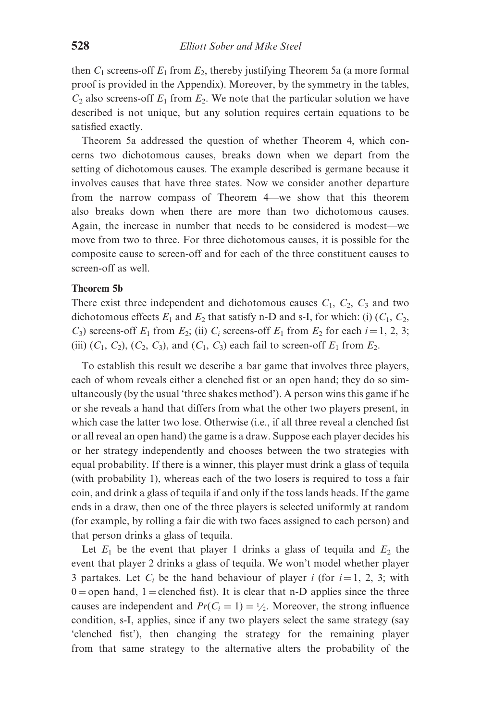then  $C_1$  screens-off  $E_1$  from  $E_2$ , thereby justifying Theorem 5a (a more formal proof is provided in the Appendix). Moreover, by the symmetry in the tables,  $C_2$  also screens-off  $E_1$  from  $E_2$ . We note that the particular solution we have described is not unique, but any solution requires certain equations to be satisfied exactly.

Theorem 5a addressed the question of whether Theorem 4, which concerns two dichotomous causes, breaks down when we depart from the setting of dichotomous causes. The example described is germane because it involves causes that have three states. Now we consider another departure from the narrow compass of Theorem 4—we show that this theorem also breaks down when there are more than two dichotomous causes. Again, the increase in number that needs to be considered is modest—we move from two to three. For three dichotomous causes, it is possible for the composite cause to screen-off and for each of the three constituent causes to screen-off as well.

# Theorem 5b

There exist three independent and dichotomous causes  $C_1$ ,  $C_2$ ,  $C_3$  and two dichotomous effects  $E_1$  and  $E_2$  that satisfy n-D and s-I, for which: (i) ( $C_1$ ,  $C_2$ ,  $C_3$ ) screens-off  $E_1$  from  $E_2$ ; (ii)  $C_i$  screens-off  $E_1$  from  $E_2$  for each  $i = 1, 2, 3$ ; (iii)  $(C_1, C_2)$ ,  $(C_2, C_3)$ , and  $(C_1, C_3)$  each fail to screen-off  $E_1$  from  $E_2$ .

To establish this result we describe a bar game that involves three players, each of whom reveals either a clenched fist or an open hand; they do so simultaneously (by the usual 'three shakes method'). A person wins this game if he or she reveals a hand that differs from what the other two players present, in which case the latter two lose. Otherwise (i.e., if all three reveal a clenched fist or all reveal an open hand) the game is a draw. Suppose each player decides his or her strategy independently and chooses between the two strategies with equal probability. If there is a winner, this player must drink a glass of tequila (with probability 1), whereas each of the two losers is required to toss a fair coin, and drink a glass of tequila if and only if the toss lands heads. If the game ends in a draw, then one of the three players is selected uniformly at random (for example, by rolling a fair die with two faces assigned to each person) and that person drinks a glass of tequila.

Let  $E_1$  be the event that player 1 drinks a glass of tequila and  $E_2$  the event that player 2 drinks a glass of tequila. We won't model whether player 3 partakes. Let  $C_i$  be the hand behaviour of player i (for  $i = 1, 2, 3$ ; with  $0 =$  open hand, 1 = clenched fist). It is clear that n-D applies since the three causes are independent and  $Pr(C_i = 1) = \frac{1}{2}$ . Moreover, the strong influence condition, s-I, applies, since if any two players select the same strategy (say 'clenched fist'), then changing the strategy for the remaining player from that same strategy to the alternative alters the probability of the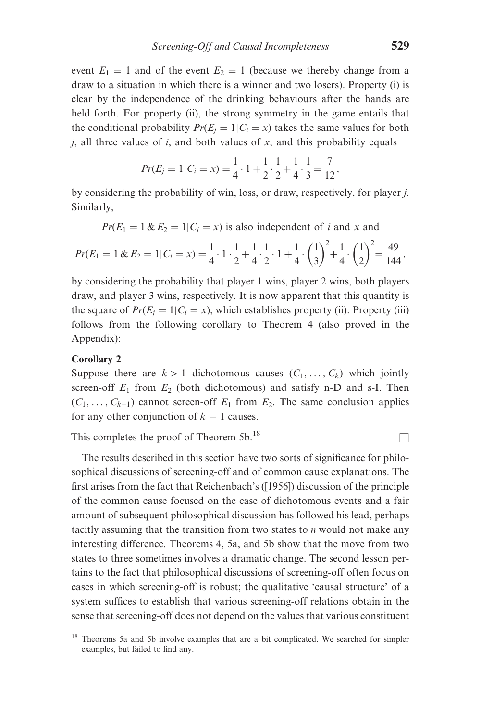event  $E_1 = 1$  and of the event  $E_2 = 1$  (because we thereby change from a draw to a situation in which there is a winner and two losers). Property (i) is clear by the independence of the drinking behaviours after the hands are held forth. For property (ii), the strong symmetry in the game entails that the conditional probability  $Pr(E_i = 1 | C_i = x)$  takes the same values for both i, all three values of i, and both values of x, and this probability equals

$$
Pr(E_j = 1 | C_i = x) = \frac{1}{4} \cdot 1 + \frac{1}{2} \cdot \frac{1}{2} + \frac{1}{4} \cdot \frac{1}{3} = \frac{7}{12},
$$

by considering the probability of win, loss, or draw, respectively, for player j. Similarly,

$$
Pr(E_1 = 1 \& E_2 = 1 | C_i = x)
$$
 is also independent of *i* and *x* and

$$
Pr(E_1 = 1 \& E_2 = 1 | C_i = x) = \frac{1}{4} \cdot 1 \cdot \frac{1}{2} + \frac{1}{4} \cdot \frac{1}{2} \cdot 1 + \frac{1}{4} \cdot \left(\frac{1}{3}\right)^2 + \frac{1}{4} \cdot \left(\frac{1}{2}\right)^2 = \frac{49}{144},
$$

by considering the probability that player 1 wins, player 2 wins, both players draw, and player 3 wins, respectively. It is now apparent that this quantity is the square of  $Pr(E_i = 1 | C_i = x)$ , which establishes property (ii). Property (iii) follows from the following corollary to Theorem 4 (also proved in the Appendix):

# Corollary 2

Suppose there are  $k>1$  dichotomous causes  $(C_1, \ldots, C_k)$  which jointly screen-off  $E_1$  from  $E_2$  (both dichotomous) and satisfy n-D and s-I. Then  $(C_1, \ldots, C_{k-1})$  cannot screen-off  $E_1$  from  $E_2$ . The same conclusion applies for any other conjunction of  $k - 1$  causes.

This completes the proof of Theorem 5b.<sup>18</sup>

The results described in this section have two sorts of significance for philosophical discussions of screening-off and of common cause explanations. The first arises from the fact that [Reichenbach's \(\[1956\]\)](#page-37-0) discussion of the principle of the common cause focused on the case of dichotomous events and a fair amount of subsequent philosophical discussion has followed his lead, perhaps tacitly assuming that the transition from two states to  $n$  would not make any interesting difference. Theorems 4, 5a, and 5b show that the move from two states to three sometimes involves a dramatic change. The second lesson pertains to the fact that philosophical discussions of screening-off often focus on cases in which screening-off is robust; the qualitative 'causal structure' of a system suffices to establish that various screening-off relations obtain in the sense that screening-off does not depend on the values that various constituent

<sup>&</sup>lt;sup>18</sup> Theorems 5a and 5b involve examples that are a bit complicated. We searched for simpler examples, but failed to find any.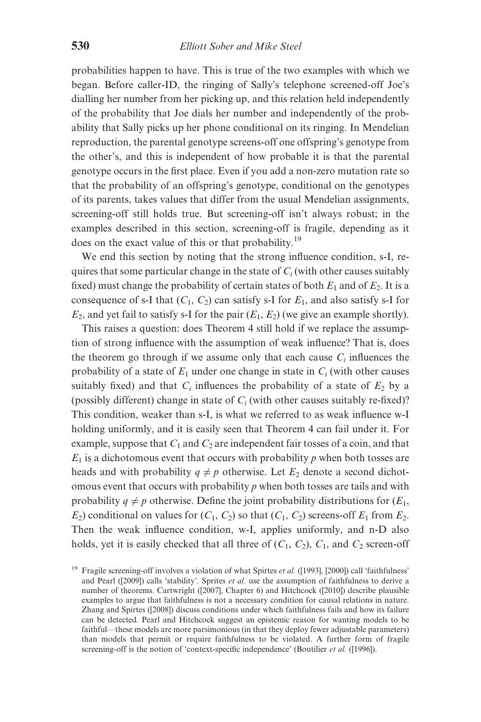probabilities happen to have. This is true of the two examples with which we began. Before caller-ID, the ringing of Sally's telephone screened-off Joe's dialling her number from her picking up, and this relation held independently of the probability that Joe dials her number and independently of the probability that Sally picks up her phone conditional on its ringing. In Mendelian reproduction, the parental genotype screens-off one offspring's genotype from the other's, and this is independent of how probable it is that the parental genotype occurs in the first place. Even if you add a non-zero mutation rate so that the probability of an offspring's genotype, conditional on the genotypes of its parents, takes values that differ from the usual Mendelian assignments, screening-off still holds true. But screening-off isn't always robust; in the examples described in this section, screening-off is fragile, depending as it does on the exact value of this or that probability.<sup>19</sup>

We end this section by noting that the strong influence condition, s-I, requires that some particular change in the state of  $C_i$  (with other causes suitably fixed) must change the probability of certain states of both  $E_1$  and of  $E_2$ . It is a consequence of s-I that  $(C_1, C_2)$  can satisfy s-I for  $E_1$ , and also satisfy s-I for  $E_2$ , and yet fail to satisfy s-I for the pair  $(E_1, E_2)$  (we give an example shortly).

This raises a question: does Theorem 4 still hold if we replace the assumption of strong influence with the assumption of weak influence? That is, does the theorem go through if we assume only that each cause  $C_i$  influences the probability of a state of  $E_1$  under one change in state in  $C_i$  (with other causes suitably fixed) and that  $C_i$  influences the probability of a state of  $E_2$  by a (possibly different) change in state of  $C_i$  (with other causes suitably re-fixed)? This condition, weaker than s-I, is what we referred to as weak influence w-I holding uniformly, and it is easily seen that Theorem 4 can fail under it. For example, suppose that  $C_1$  and  $C_2$  are independent fair tosses of a coin, and that  $E_1$  is a dichotomous event that occurs with probability p when both tosses are heads and with probability  $q \neq p$  otherwise. Let  $E_2$  denote a second dichotomous event that occurs with probability  $p$  when both tosses are tails and with probability  $q \neq p$  otherwise. Define the joint probability distributions for  $(E_1,$  $E_2$ ) conditional on values for  $(C_1, C_2)$  so that  $(C_1, C_2)$  screens-off  $E_1$  from  $E_2$ . Then the weak influence condition, w-I, applies uniformly, and n-D also holds, yet it is easily checked that all three of  $(C_1, C_2)$ ,  $C_1$ , and  $C_2$  screen-off

<sup>&</sup>lt;sup>19</sup> Fragile screening-off involves a violation of what Spirtes *et al.* [\(\[1993\], \[2000\]\)](#page-37-0) call 'faithfulness' and Pearl ( $[2009]$ ) calls 'stability'. Sprites *et al.* use the assumption of faithfulness to derive a number of theorems. [Cartwright \(\[2007\]](#page-36-0), Chapter 6) and [Hitchcock \(\[2010\]](#page-36-0)) describe plausible examples to argue that faithfulness is not a necessary condition for causal relations in nature. [Zhang and Spirtes \(\[2008\]\)](#page-37-0) discuss conditions under which faithfulness fails and how its failure can be detected. Pearl and Hitchcock suggest an epistemic reason for wanting models to be faithful—these models are more parsimonious (in that they deploy fewer adjustable parameters) than models that permit or require faithfulness to be violated. A further form of fragile screening-off is the notion of 'context-specific independence' [\(Boutilier](#page-36-0) et al. ([1996]).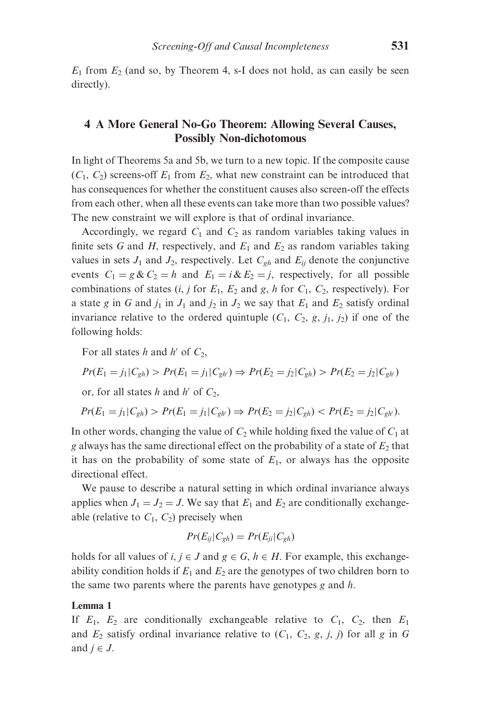$E_1$  from  $E_2$  (and so, by Theorem 4, s-I does not hold, as can easily be seen directly).

# 4 A More General No-Go Theorem: Allowing Several Causes, Possibly Non-dichotomous

In light of Theorems 5a and 5b, we turn to a new topic. If the composite cause  $(C_1, C_2)$  screens-off  $E_1$  from  $E_2$ , what new constraint can be introduced that has consequences for whether the constituent causes also screen-off the effects from each other, when all these events can take more than two possible values? The new constraint we will explore is that of ordinal invariance.

Accordingly, we regard  $C_1$  and  $C_2$  as random variables taking values in finite sets G and H, respectively, and  $E_1$  and  $E_2$  as random variables taking values in sets  $J_1$  and  $J_2$ , respectively. Let  $C_{gh}$  and  $E_{ii}$  denote the conjunctive events  $C_1 = g \& C_2 = h$  and  $E_1 = i \& E_2 = j$ , respectively, for all possible combinations of states (*i*, *j* for  $E_1$ ,  $E_2$  and *g*, *h* for  $C_1$ ,  $C_2$ , respectively). For a state g in G and  $j_1$  in  $J_1$  and  $j_2$  in  $J_2$  we say that  $E_1$  and  $E_2$  satisfy ordinal invariance relative to the ordered quintuple  $(C_1, C_2, g, j_1, j_2)$  if one of the following holds:

For all states h and h' of  $C_2$ ,

$$
Pr(E_1 = j_1 | C_{gh}) > Pr(E_1 = j_1 | C_{gh'}) \Rightarrow Pr(E_2 = j_2 | C_{gh}) > Pr(E_2 = j_2 | C_{gh'})
$$

or, for all states h and h' of  $C_2$ ,

$$
Pr(E_1 = j_1 | C_{gh}) > Pr(E_1 = j_1 | C_{gh'}) \Rightarrow Pr(E_2 = j_2 | C_{gh}) < Pr(E_2 = j_2 | C_{gh'}).
$$

In other words, changing the value of  $C_2$  while holding fixed the value of  $C_1$  at g always has the same directional effect on the probability of a state of  $E_2$  that it has on the probability of some state of  $E_1$ , or always has the opposite directional effect.

We pause to describe a natural setting in which ordinal invariance always applies when  $J_1 = J_2 = J$ . We say that  $E_1$  and  $E_2$  are conditionally exchangeable (relative to  $C_1$ ,  $C_2$ ) precisely when

$$
Pr(E_{ij}|C_{gh}) = Pr(E_{ji}|C_{gh})
$$

holds for all values of  $i, j \in J$  and  $g \in G$ ,  $h \in H$ . For example, this exchangeability condition holds if  $E_1$  and  $E_2$  are the genotypes of two children born to the same two parents where the parents have genotypes  $g$  and  $h$ .

# Lemma 1

If  $E_1$ ,  $E_2$  are conditionally exchangeable relative to  $C_1$ ,  $C_2$ , then  $E_1$ and  $E_2$  satisfy ordinal invariance relative to  $(C_1, C_2, g, j, j)$  for all g in G and  $j \in J$ .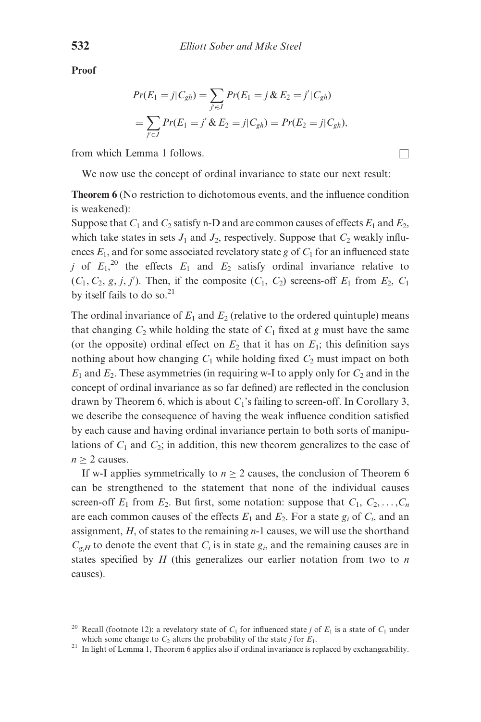**Proof** 

$$
Pr(E_1 = j | C_{gh}) = \sum_{j' \in J} Pr(E_1 = j \& E_2 = j' | C_{gh})
$$
  
= 
$$
\sum_{j' \in J} Pr(E_1 = j' \& E_2 = j | C_{gh}) = Pr(E_2 = j | C_{gh}),
$$

from which Lemma 1 follows.

We now use the concept of ordinal invariance to state our next result:

Theorem 6 (No restriction to dichotomous events, and the influence condition is weakened):

Suppose that  $C_1$  and  $C_2$  satisfy n-D and are common causes of effects  $E_1$  and  $E_2$ , which take states in sets  $J_1$  and  $J_2$ , respectively. Suppose that  $C_2$  weakly influences  $E_1$ , and for some associated revelatory state g of  $C_1$  for an influenced state j of  $E_1$ ,<sup>20</sup> the effects  $E_1$  and  $E_2$  satisfy ordinal invariance relative to  $(C_1, C_2, g, j, j')$ . Then, if the composite  $(C_1, C_2)$  screens-off  $E_1$  from  $E_2, C_1$ by itself fails to do so. $21$ 

The ordinal invariance of  $E_1$  and  $E_2$  (relative to the ordered quintuple) means that changing  $C_2$  while holding the state of  $C_1$  fixed at g must have the same (or the opposite) ordinal effect on  $E_2$  that it has on  $E_1$ ; this definition says nothing about how changing  $C_1$  while holding fixed  $C_2$  must impact on both  $E_1$  and  $E_2$ . These asymmetries (in requiring w-I to apply only for  $C_2$  and in the concept of ordinal invariance as so far defined) are reflected in the conclusion drawn by Theorem 6, which is about  $C_1$ 's failing to screen-off. In Corollary 3, we describe the consequence of having the weak influence condition satisfied by each cause and having ordinal invariance pertain to both sorts of manipulations of  $C_1$  and  $C_2$ ; in addition, this new theorem generalizes to the case of  $n \geq 2$  causes.

If w-I applies symmetrically to  $n \geq 2$  causes, the conclusion of Theorem 6 can be strengthened to the statement that none of the individual causes screen-off  $E_1$  from  $E_2$ . But first, some notation: suppose that  $C_1, C_2, \ldots, C_n$ are each common causes of the effects  $E_1$  and  $E_2$ . For a state  $g_i$  of  $C_i$ , and an assignment,  $H$ , of states to the remaining  $n-1$  causes, we will use the shorthand  $C_{g,H}$  to denote the event that  $C_i$  is in state  $g_i$ , and the remaining causes are in states specified by  $H$  (this generalizes our earlier notation from two to  $n$ causes).

<sup>&</sup>lt;sup>20</sup> Recall (footnote 12): a revelatory state of  $C_1$  for influenced state *j* of  $E_1$  is a state of  $C_1$  under which some change to  $C_2$  alters the probability of the state *j* for  $E_1$ .

<sup>&</sup>lt;sup>21</sup> In light of Lemma 1, Theorem 6 applies also if ordinal invariance is replaced by exchangeability.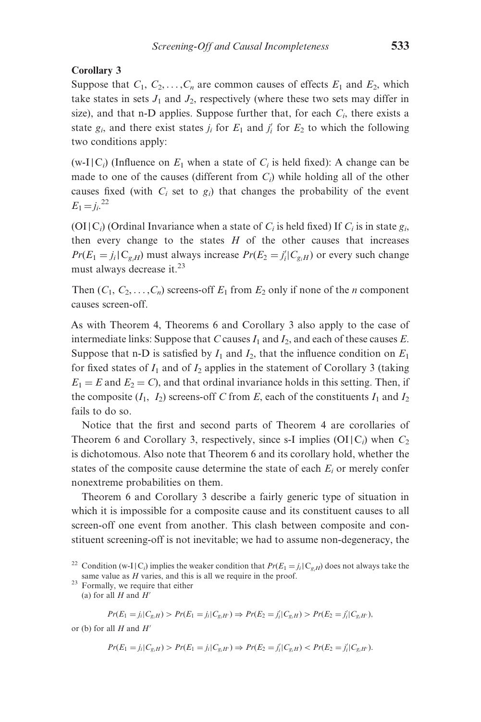#### Corollary 3

Suppose that  $C_1, C_2, \ldots, C_n$  are common causes of effects  $E_1$  and  $E_2$ , which take states in sets  $J_1$  and  $J_2$ , respectively (where these two sets may differ in size), and that n-D applies. Suppose further that, for each  $C_i$ , there exists a state  $g_i$ , and there exist states  $j_i$  for  $E_1$  and  $j'_i$  for  $E_2$  to which the following two conditions apply:

(w-I|C<sub>i</sub>) (Influence on  $E_1$  when a state of  $C_i$  is held fixed): A change can be made to one of the causes (different from  $C_i$ ) while holding all of the other causes fixed (with  $C_i$  set to  $g_i$ ) that changes the probability of the event  $E_1 = j_i^{22}$ 

(OI|C<sub>i</sub>) (Ordinal Invariance when a state of  $C_i$  is held fixed) If  $C_i$  is in state  $g_i$ , then every change to the states  $H$  of the other causes that increases  $Pr(E_1 = j_i | C_{g,H})$  must always increase  $Pr(E_2 = j'_i | C_{g,H})$  or every such change must always decrease it.<sup>23</sup>

Then  $(C_1, C_2, \ldots, C_n)$  screens-off  $E_1$  from  $E_2$  only if none of the *n* component causes screen-off.

As with Theorem 4, Theorems 6 and Corollary 3 also apply to the case of intermediate links: Suppose that C causes  $I_1$  and  $I_2$ , and each of these causes E. Suppose that n-D is satisfied by  $I_1$  and  $I_2$ , that the influence condition on  $E_1$ for fixed states of  $I_1$  and of  $I_2$  applies in the statement of Corollary 3 (taking  $E_1 = E$  and  $E_2 = C$ ), and that ordinal invariance holds in this setting. Then, if the composite  $(I_1, I_2)$  screens-off C from E, each of the constituents  $I_1$  and  $I_2$ fails to do so.

Notice that the first and second parts of Theorem 4 are corollaries of Theorem 6 and Corollary 3, respectively, since s-I implies  $(OI|C_i)$  when  $C_2$ is dichotomous. Also note that Theorem 6 and its corollary hold, whether the states of the composite cause determine the state of each  $E_i$  or merely confer nonextreme probabilities on them.

Theorem 6 and Corollary 3 describe a fairly generic type of situation in which it is impossible for a composite cause and its constituent causes to all screen-off one event from another. This clash between composite and constituent screening-off is not inevitable; we had to assume non-degeneracy, the

(a) for all  $H$  and  $H'$ 

$$
Pr(E_1 = j_i | C_{g_i H}) > Pr(E_1 = j_i | C_{g_i H'}) \Rightarrow Pr(E_2 = j'_i | C_{g_i H}) > Pr(E_2 = j'_i | C_{g_i H'}),
$$

or (b) for all  $H$  and  $H'$ 

$$
Pr(E_1 = j_i | C_{g_i H}) > Pr(E_1 = j_i | C_{g_i H'}) \Rightarrow Pr(E_2 = j'_i | C_{g_i H}) < Pr(E_2 = j'_i | C_{g_i H'}).
$$

<sup>&</sup>lt;sup>22</sup> Condition (w-I|C<sub>i</sub>) implies the weaker condition that  $Pr(E_1 = j_i | C_{g,H})$  does not always take the same value as  $H$  varies, and this is all we require in the proof.  $23$  Formally, we require that either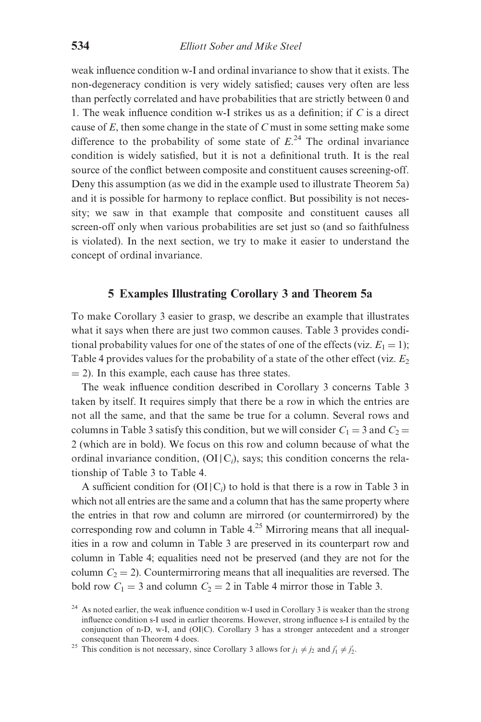weak influence condition w-I and ordinal invariance to show that it exists. The non-degeneracy condition is very widely satisfied; causes very often are less than perfectly correlated and have probabilities that are strictly between 0 and 1. The weak influence condition w-I strikes us as a definition; if  $C$  is a direct cause of  $E$ , then some change in the state of  $C$  must in some setting make some difference to the probability of some state of  $E^{24}$ . The ordinal invariance condition is widely satisfied, but it is not a definitional truth. It is the real source of the conflict between composite and constituent causes screening-off. Deny this assumption (as we did in the example used to illustrate Theorem 5a) and it is possible for harmony to replace conflict. But possibility is not necessity; we saw in that example that composite and constituent causes all screen-off only when various probabilities are set just so (and so faithfulness is violated). In the next section, we try to make it easier to understand the concept of ordinal invariance.

# 5 Examples Illustrating Corollary 3 and Theorem 5a

To make Corollary 3 easier to grasp, we describe an example that illustrates what it says when there are just two common causes. [Table 3](#page-22-0) provides conditional probability values for one of the states of one of the effects (viz.  $E_1 = 1$ ); [Table 4](#page-22-0) provides values for the probability of a state of the other effect (viz.  $E_2$ )  $=$  2). In this example, each cause has three states.

The weak influence condition described in Corollary 3 concerns [Table 3](#page-22-0) taken by itself. It requires simply that there be a row in which the entries are not all the same, and that the same be true for a column. Several rows and columns in [Table 3](#page-22-0) satisfy this condition, but we will consider  $C_1 = 3$  and  $C_2 =$ 2 (which are in bold). We focus on this row and column because of what the ordinal invariance condition,  $(OI|C_i)$ , says; this condition concerns the relationship of [Table 3](#page-22-0) to [Table 4.](#page-22-0)

A sufficient condition for  $(OI|C_i)$  to hold is that there is a row in [Table 3](#page-22-0) in which not all entries are the same and a column that has the same property where the entries in that row and column are mirrored (or countermirrored) by the corresponding row and column in Table  $4^{25}$  Mirroring means that all inequalities in a row and column in [Table 3](#page-22-0) are preserved in its counterpart row and column in [Table 4](#page-22-0); equalities need not be preserved (and they are not for the column  $C_2 = 2$ ). Countermirroring means that all inequalities are reversed. The bold row  $C_1 = 3$  and column  $C_2 = 2$  in [Table 4](#page-22-0) mirror those in [Table 3.](#page-22-0)

 $24$  As noted earlier, the weak influence condition w-I used in Corollary 3 is weaker than the strong influence condition s-I used in earlier theorems. However, strong influence s-I is entailed by the conjunction of n-D, w-I, and (OIjC). Corollary 3 has a stronger antecedent and a stronger

consequent than Theorem 4 does.<br>
<sup>25</sup> This condition is not necessary, since Corollary 3 allows for  $j_1 \neq j_2$  and  $j'_1 \neq j'_2$ .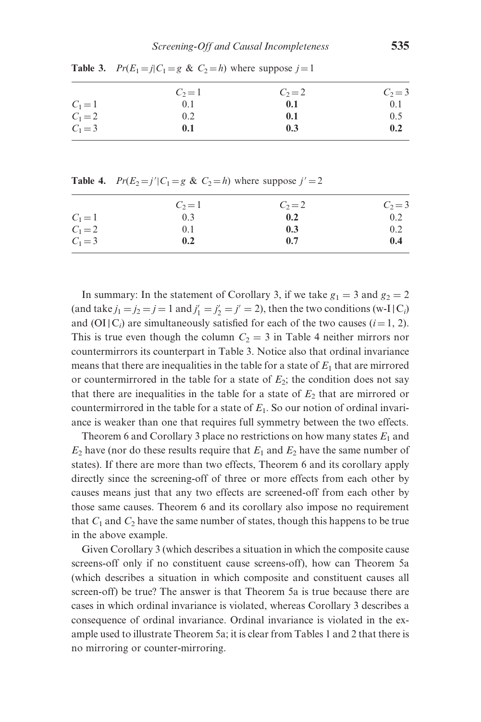|           | $C_2 = 1$ | $C_2 = 2$ | $C_2 = 3$ |
|-----------|-----------|-----------|-----------|
| $C_1 = 1$ | 0.1       | 0.1       | 0.1       |
| $C_1 = 2$ | 0.2       | 0.1       | 0.5       |
| $C_1 = 3$ | 0.1       | 0.3       | 0.2       |

<span id="page-22-0"></span>**Table 3.**  $Pr(E_1 = j | C_1 = g \& C_2 = h)$  where suppose  $j = 1$ 

**Table 4.**  $Pr(E_2 = j' | C_1 = g \& C_2 = h)$  where suppose  $j' = 2$ 

| $C_2 = 1$ |     | $C_2 = 3$ |
|-----------|-----|-----------|
| 0.3       | 0.2 | 0.2       |
| 0.1       | 0.3 | 0.2       |
| 0.2       | 0.7 | 0.4       |
|           |     | $C_2 = 2$ |

In summary: In the statement of Corollary 3, if we take  $g_1 = 3$  and  $g_2 = 2$ (and take  $j_1 = j_2 = j = 1$  and  $j'_1 = j'_2 = j' = 2$ ), then the two conditions (w-I|C<sub>i</sub>) and (OI|C<sub>i</sub>) are simultaneously satisfied for each of the two causes ( $i = 1, 2$ ). This is true even though the column  $C_2 = 3$  in Table 4 neither mirrors nor countermirrors its counterpart in Table 3. Notice also that ordinal invariance means that there are inequalities in the table for a state of  $E_1$  that are mirrored or countermirrored in the table for a state of  $E_2$ ; the condition does not say that there are inequalities in the table for a state of  $E<sub>2</sub>$  that are mirrored or countermirrored in the table for a state of  $E_1$ . So our notion of ordinal invariance is weaker than one that requires full symmetry between the two effects.

Theorem 6 and Corollary 3 place no restrictions on how many states  $E_1$  and  $E_2$  have (nor do these results require that  $E_1$  and  $E_2$  have the same number of states). If there are more than two effects, Theorem 6 and its corollary apply directly since the screening-off of three or more effects from each other by causes means just that any two effects are screened-off from each other by those same causes. Theorem 6 and its corollary also impose no requirement that  $C_1$  and  $C_2$  have the same number of states, though this happens to be true in the above example.

Given Corollary 3 (which describes a situation in which the composite cause screens-off only if no constituent cause screens-off), how can Theorem 5a (which describes a situation in which composite and constituent causes all screen-off) be true? The answer is that Theorem 5a is true because there are cases in which ordinal invariance is violated, whereas Corollary 3 describes a consequence of ordinal invariance. Ordinal invariance is violated in the example used to illustrate Theorem 5a; it is clear from [Tables 1](#page-14-0) and [2](#page-14-0) that there is no mirroring or counter-mirroring.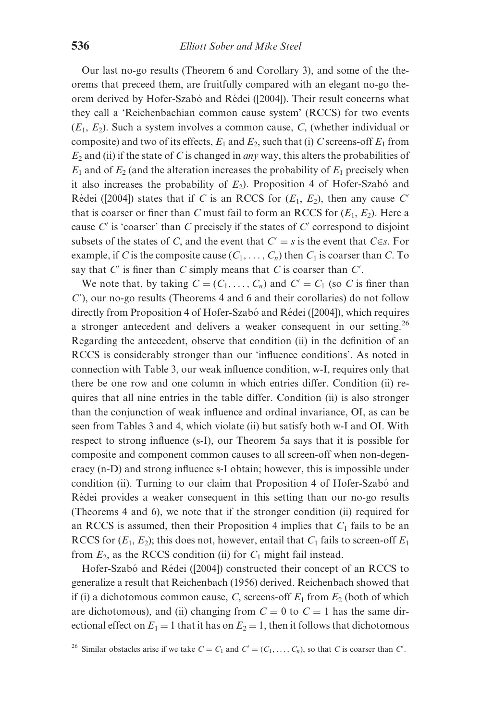Our last no-go results (Theorem 6 and Corollary 3), and some of the theorems that preceed them, are fruitfully compared with an elegant no-go theorem derived by Hofer-Szabó and Rédei ([2004]). Their result concerns what they call a 'Reichenbachian common cause system' (RCCS) for two events  $(E_1, E_2)$ . Such a system involves a common cause, C, (whether individual or composite) and two of its effects,  $E_1$  and  $E_2$ , such that (i) C screens-off  $E_1$  from  $E_2$  and (ii) if the state of C is changed in *any* way, this alters the probabilities of  $E_1$  and of  $E_2$  (and the alteration increases the probability of  $E_1$  precisely when it also increases the probability of  $E_2$ ). Proposition 4 of Hofer-Szabó and Rédei ([2004]) states that if C is an RCCS for  $(E_1, E_2)$ , then any cause C' that is coarser or finer than C must fail to form an RCCS for  $(E_1, E_2)$ . Here a cause  $C'$  is 'coarser' than C precisely if the states of  $C'$  correspond to disjoint subsets of the states of C, and the event that  $C = s$  is the event that  $C \in S$ . For example, if C is the composite cause  $(C_1, \ldots, C_n)$  then  $C_1$  is coarser than C. To say that  $C'$  is finer than  $C$  simply means that  $C$  is coarser than  $C'$ .

We note that, by taking  $C = (C_1, \ldots, C_n)$  and  $C' = C_1$  (so C is finer than  $C'$ ), our no-go results (Theorems 4 and 6 and their corollaries) do not follow directly from Proposition 4 of Hofer-Szabó and Rédei ([2004]), which requires a stronger antecedent and delivers a weaker consequent in our setting.<sup>26</sup> Regarding the antecedent, observe that condition (ii) in the definition of an RCCS is considerably stronger than our 'influence conditions'. As noted in connection with [Table 3](#page-22-0), our weak influence condition, w-I, requires only that there be one row and one column in which entries differ. Condition (ii) requires that all nine entries in the table differ. Condition (ii) is also stronger than the conjunction of weak influence and ordinal invariance, OI, as can be seen from [Tables 3](#page-22-0) and [4](#page-22-0), which violate (ii) but satisfy both w-I and OI. With respect to strong influence (s-I), our Theorem 5a says that it is possible for composite and component common causes to all screen-off when non-degeneracy (n-D) and strong influence s-I obtain; however, this is impossible under condition (ii). Turning to our claim that Proposition 4 of Hofer-Szabó and Rédei provides a weaker consequent in this setting than our no-go results (Theorems 4 and 6), we note that if the stronger condition (ii) required for an RCCS is assumed, then their Proposition 4 implies that  $C_1$  fails to be an RCCS for  $(E_1, E_2)$ ; this does not, however, entail that  $C_1$  fails to screen-off  $E_1$ from  $E_2$ , as the RCCS condition (ii) for  $C_1$  might fail instead.

Hofer-Szabó and Rédei ([2004]) constructed their concept of an RCCS to generalize a result that [Reichenbach \(1956\)](#page-37-0) derived. Reichenbach showed that if (i) a dichotomous common cause, C, screens-off  $E_1$  from  $E_2$  (both of which are dichotomous), and (ii) changing from  $C = 0$  to  $C = 1$  has the same directional effect on  $E_1 = 1$  that it has on  $E_2 = 1$ , then it follows that dichotomous

<sup>&</sup>lt;sup>26</sup> Similar obstacles arise if we take  $C = C_1$  and  $C' = (C_1, \ldots, C_n)$ , so that C is coarser than C'.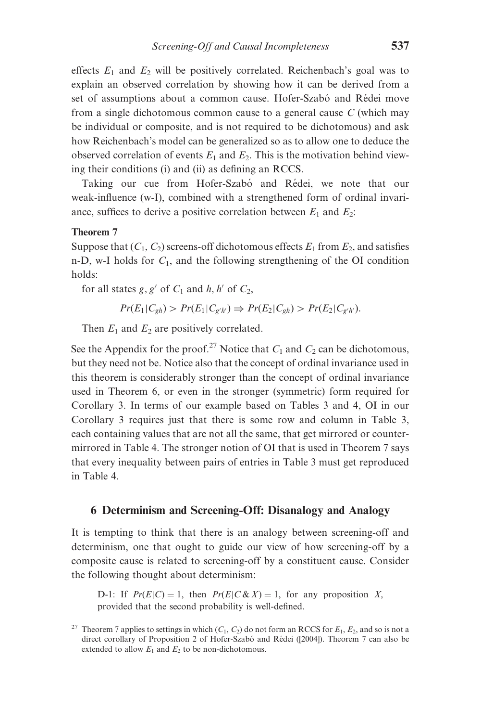effects  $E_1$  and  $E_2$  will be positively correlated. Reichenbach's goal was to explain an observed correlation by showing how it can be derived from a set of assumptions about a common cause. Hofer-Szabó and Rédei move from a single dichotomous common cause to a general cause  $C$  (which may be individual or composite, and is not required to be dichotomous) and ask how Reichenbach's model can be generalized so as to allow one to deduce the observed correlation of events  $E_1$  and  $E_2$ . This is the motivation behind viewing their conditions (i) and (ii) as defining an RCCS.

Taking our cue from Hofer-Szabó and Rédei, we note that our weak-influence (w-I), combined with a strengthened form of ordinal invariance, suffices to derive a positive correlation between  $E_1$  and  $E_2$ :

# Theorem 7

Suppose that  $(C_1, C_2)$  screens-off dichotomous effects  $E_1$  from  $E_2$ , and satisfies n-D, w-I holds for  $C_1$ , and the following strengthening of the OI condition holds:

for all states  $g, g'$  of  $C_1$  and  $h, h'$  of  $C_2$ ,

$$
Pr(E_1|C_{gh}) > Pr(E_1|C_{g'h'}) \Rightarrow Pr(E_2|C_{gh}) > Pr(E_2|C_{g'h'}).
$$

Then  $E_1$  and  $E_2$  are positively correlated.

See the Appendix for the proof.<sup>27</sup> Notice that  $C_1$  and  $C_2$  can be dichotomous, but they need not be. Notice also that the concept of ordinal invariance used in this theorem is considerably stronger than the concept of ordinal invariance used in Theorem 6, or even in the stronger (symmetric) form required for Corollary 3. In terms of our example based on [Tables 3](#page-22-0) and [4,](#page-22-0) OI in our Corollary 3 requires just that there is some row and column in [Table 3](#page-22-0), each containing values that are not all the same, that get mirrored or countermirrored in [Table 4](#page-22-0). The stronger notion of OI that is used in Theorem 7 says that every inequality between pairs of entries in [Table 3](#page-22-0) must get reproduced in [Table 4.](#page-22-0)

# 6 Determinism and Screening-Off: Disanalogy and Analogy

It is tempting to think that there is an analogy between screening-off and determinism, one that ought to guide our view of how screening-off by a composite cause is related to screening-off by a constituent cause. Consider the following thought about determinism:

D-1: If  $Pr(E|C) = 1$ , then  $Pr(E|C \& X) = 1$ , for any proposition X, provided that the second probability is well-defined.

<sup>&</sup>lt;sup>27</sup> Theorem 7 applies to settings in which  $(C_1, C_2)$  do not form an RCCS for  $E_1, E_2$ , and so is not a direct corollary of Proposition 2 of Hofer-Szabó and Rédei ([2004]). Theorem 7 can also be extended to allow  $E_1$  and  $E_2$  to be non-dichotomous.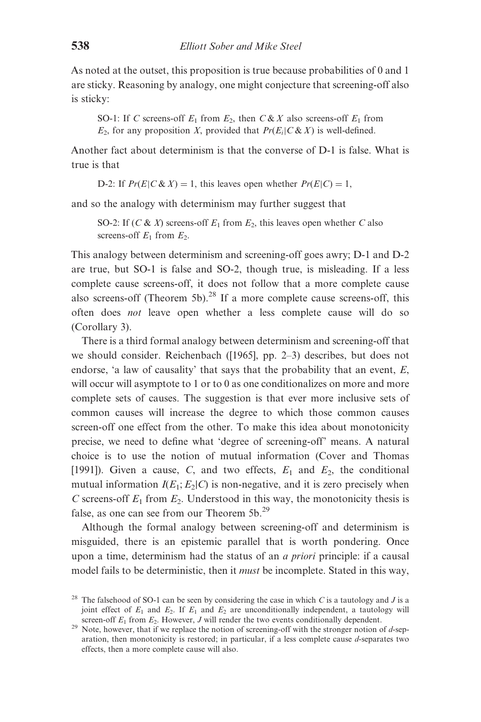As noted at the outset, this proposition is true because probabilities of 0 and 1 are sticky. Reasoning by analogy, one might conjecture that screening-off also is sticky:

SO-1: If C screens-off  $E_1$  from  $E_2$ , then  $C & X$  also screens-off  $E_1$  from  $E_2$ , for any proposition X, provided that  $Pr(E_i|C \& X)$  is well-defined.

Another fact about determinism is that the converse of D-1 is false. What is true is that

D-2: If  $Pr(E|C \& X) = 1$ , this leaves open whether  $Pr(E|C) = 1$ ,

and so the analogy with determinism may further suggest that

SO-2: If  $(C & X)$  screens-off  $E_1$  from  $E_2$ , this leaves open whether C also screens-off  $E_1$  from  $E_2$ .

This analogy between determinism and screening-off goes awry; D-1 and D-2 are true, but SO-1 is false and SO-2, though true, is misleading. If a less complete cause screens-off, it does not follow that a more complete cause also screens-off (Theorem 5b). $^{28}$  If a more complete cause screens-off, this often does not leave open whether a less complete cause will do so (Corollary 3).

There is a third formal analogy between determinism and screening-off that we should consider. Reichenbach [\(\[1965\]](#page-37-0), pp. 2–3) describes, but does not endorse, 'a law of causality' that says that the probability that an event,  $E$ , will occur will asymptote to 1 or to 0 as one conditionalizes on more and more complete sets of causes. The suggestion is that ever more inclusive sets of common causes will increase the degree to which those common causes screen-off one effect from the other. To make this idea about monotonicity precise, we need to define what 'degree of screening-off' means. A natural choice is to use the notion of mutual information [\(Cover and Thomas](#page-36-0) [\[1991\]\)](#page-36-0). Given a cause, C, and two effects,  $E_1$  and  $E_2$ , the conditional mutual information  $I(E_1; E_2 | C)$  is non-negative, and it is zero precisely when C screens-off  $E_1$  from  $E_2$ . Understood in this way, the monotonicity thesis is false, as one can see from our Theorem  $5b<sup>29</sup>$ 

Although the formal analogy between screening-off and determinism is misguided, there is an epistemic parallel that is worth pondering. Once upon a time, determinism had the status of an *a priori* principle: if a causal model fails to be deterministic, then it *must* be incomplete. Stated in this way,

<sup>&</sup>lt;sup>28</sup> The falsehood of SO-1 can be seen by considering the case in which C is a tautology and J is a joint effect of  $E_1$  and  $E_2$ . If  $E_1$  and  $E_2$  are unconditionally independent, a tautology will screen-off  $E_1$  from  $E_2$ . However, J will render the two events conditionally dependent.

 $29$  Note, however, that if we replace the notion of screening-off with the stronger notion of d-separation, then monotonicity is restored; in particular, if a less complete cause d-separates two effects, then a more complete cause will also.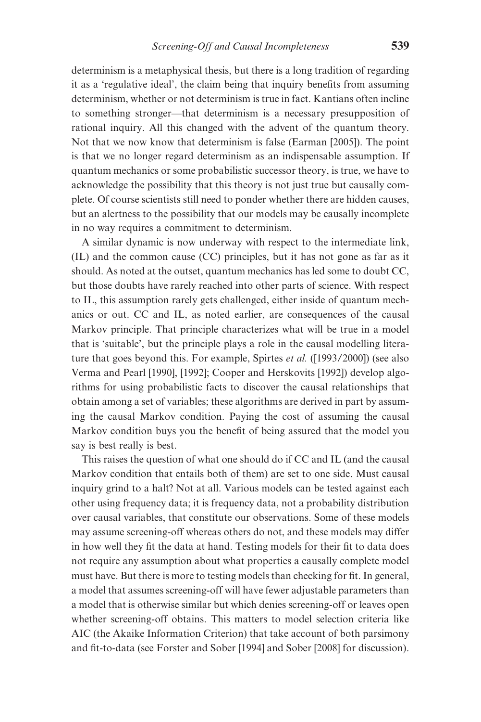determinism is a metaphysical thesis, but there is a long tradition of regarding it as a 'regulative ideal', the claim being that inquiry benefits from assuming determinism, whether or not determinism is true in fact. Kantians often incline to something stronger—that determinism is a necessary presupposition of rational inquiry. All this changed with the advent of the quantum theory. Not that we now know that determinism is false ([Earman \[2005\]](#page-36-0)). The point is that we no longer regard determinism as an indispensable assumption. If quantum mechanics or some probabilistic successor theory, is true, we have to acknowledge the possibility that this theory is not just true but causally complete. Of course scientists still need to ponder whether there are hidden causes, but an alertness to the possibility that our models may be causally incomplete in no way requires a commitment to determinism.

A similar dynamic is now underway with respect to the intermediate link, (IL) and the common cause (CC) principles, but it has not gone as far as it should. As noted at the outset, quantum mechanics has led some to doubt CC, but those doubts have rarely reached into other parts of science. With respect to IL, this assumption rarely gets challenged, either inside of quantum mechanics or out. CC and IL, as noted earlier, are consequences of the causal Markov principle. That principle characterizes what will be true in a model that is 'suitable', but the principle plays a role in the causal modelling literature that goes beyond this. For example, Spirtes *et al.* [\(\[1993/2000\]\)](#page-37-0) (see also [Verma and Pearl \[1990\], \[1992\]](#page-37-0); [Cooper and Herskovits \[1992\]\)](#page-36-0) develop algorithms for using probabilistic facts to discover the causal relationships that obtain among a set of variables; these algorithms are derived in part by assuming the causal Markov condition. Paying the cost of assuming the causal Markov condition buys you the benefit of being assured that the model you say is best really is best.

This raises the question of what one should do if CC and IL (and the causal Markov condition that entails both of them) are set to one side. Must causal inquiry grind to a halt? Not at all. Various models can be tested against each other using frequency data; it is frequency data, not a probability distribution over causal variables, that constitute our observations. Some of these models may assume screening-off whereas others do not, and these models may differ in how well they fit the data at hand. Testing models for their fit to data does not require any assumption about what properties a causally complete model must have. But there is more to testing models than checking for fit. In general, a model that assumes screening-off will have fewer adjustable parameters than a model that is otherwise similar but which denies screening-off or leaves open whether screening-off obtains. This matters to model selection criteria like AIC (the Akaike Information Criterion) that take account of both parsimony and fit-to-data (see [Forster and Sober \[1994\]](#page-36-0) and [Sober \[2008\]](#page-37-0) for discussion).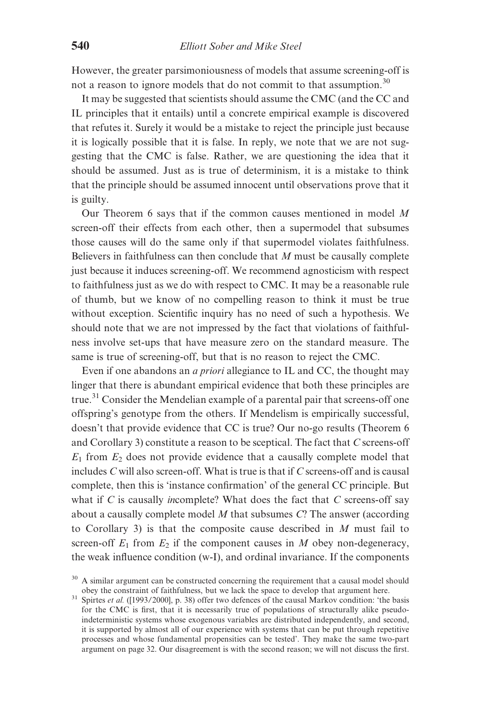However, the greater parsimoniousness of models that assume screening-off is not a reason to ignore models that do not commit to that assumption.<sup>30</sup>

It may be suggested that scientists should assume the CMC (and the CC and IL principles that it entails) until a concrete empirical example is discovered that refutes it. Surely it would be a mistake to reject the principle just because it is logically possible that it is false. In reply, we note that we are not suggesting that the CMC is false. Rather, we are questioning the idea that it should be assumed. Just as is true of determinism, it is a mistake to think that the principle should be assumed innocent until observations prove that it is guilty.

Our Theorem 6 says that if the common causes mentioned in model  $M$ screen-off their effects from each other, then a supermodel that subsumes those causes will do the same only if that supermodel violates faithfulness. Believers in faithfulness can then conclude that  $M$  must be causally complete just because it induces screening-off. We recommend agnosticism with respect to faithfulness just as we do with respect to CMC. It may be a reasonable rule of thumb, but we know of no compelling reason to think it must be true without exception. Scientific inquiry has no need of such a hypothesis. We should note that we are not impressed by the fact that violations of faithfulness involve set-ups that have measure zero on the standard measure. The same is true of screening-off, but that is no reason to reject the CMC.

Even if one abandons an a priori allegiance to IL and CC, the thought may linger that there is abundant empirical evidence that both these principles are true.<sup>31</sup> Consider the Mendelian example of a parental pair that screens-off one offspring's genotype from the others. If Mendelism is empirically successful, doesn't that provide evidence that CC is true? Our no-go results (Theorem 6 and Corollary 3) constitute a reason to be sceptical. The fact that C screens-off  $E_1$  from  $E_2$  does not provide evidence that a causally complete model that includes C will also screen-off. What is true is that if C screens-off and is causal complete, then this is 'instance confirmation' of the general CC principle. But what if  $C$  is causally incomplete? What does the fact that  $C$  screens-off say about a causally complete model  $M$  that subsumes  $C$ ? The answer (according to Corollary 3) is that the composite cause described in  $M$  must fail to screen-off  $E_1$  from  $E_2$  if the component causes in M obey non-degeneracy, the weak influence condition (w-I), and ordinal invariance. If the components

 $30$  A similar argument can be constructed concerning the requirement that a causal model should obey the constraint of faithfulness, but we lack the space to develop that argument here.

 $31$  Spirtes et al. [\(\[1993/2000\]](#page-37-0), p. 38) offer two defences of the causal Markov condition: 'the basis for the CMC is first, that it is necessarily true of populations of structurally alike pseudoindeterministic systems whose exogenous variables are distributed independently, and second, it is supported by almost all of our experience with systems that can be put through repetitive processes and whose fundamental propensities can be tested'. They make the same two-part argument on page 32. Our disagreement is with the second reason; we will not discuss the first.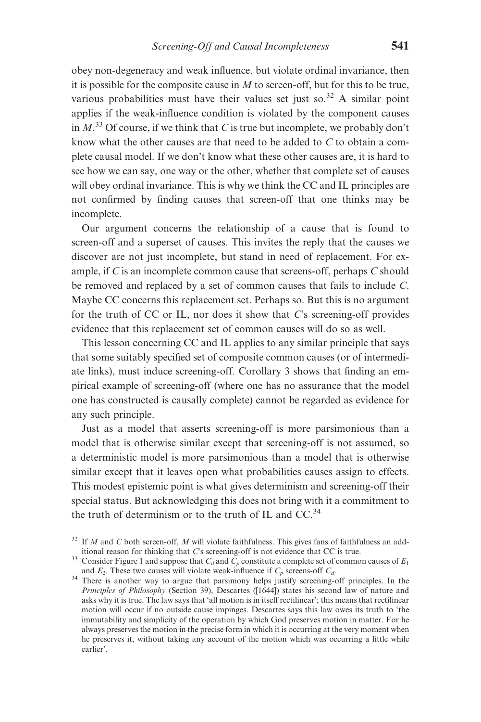obey non-degeneracy and weak influence, but violate ordinal invariance, then it is possible for the composite cause in  $M$  to screen-off, but for this to be true, various probabilities must have their values set just so.<sup>32</sup> A similar point applies if the weak-influence condition is violated by the component causes in  $M^{33}$  Of course, if we think that C is true but incomplete, we probably don't know what the other causes are that need to be added to C to obtain a complete causal model. If we don't know what these other causes are, it is hard to see how we can say, one way or the other, whether that complete set of causes will obey ordinal invariance. This is why we think the CC and IL principles are not confirmed by finding causes that screen-off that one thinks may be incomplete.

Our argument concerns the relationship of a cause that is found to screen-off and a superset of causes. This invites the reply that the causes we discover are not just incomplete, but stand in need of replacement. For example, if C is an incomplete common cause that screens-off, perhaps C should be removed and replaced by a set of common causes that fails to include C. Maybe CC concerns this replacement set. Perhaps so. But this is no argument for the truth of CC or IL, nor does it show that  $C$ 's screening-off provides evidence that this replacement set of common causes will do so as well.

This lesson concerning CC and IL applies to any similar principle that says that some suitably specified set of composite common causes (or of intermediate links), must induce screening-off. Corollary 3 shows that finding an empirical example of screening-off (where one has no assurance that the model one has constructed is causally complete) cannot be regarded as evidence for any such principle.

Just as a model that asserts screening-off is more parsimonious than a model that is otherwise similar except that screening-off is not assumed, so a deterministic model is more parsimonious than a model that is otherwise similar except that it leaves open what probabilities causes assign to effects. This modest epistemic point is what gives determinism and screening-off their special status. But acknowledging this does not bring with it a commitment to the truth of determinism or to the truth of IL and  $CC<sup>34</sup>$ 

 $32$  If M and C both screen-off, M will violate faithfulness. This gives fans of faithfulness an add-

itional reason for thinking that C's screening-off is not evidence that CC is true.<br>33 Consider [Figure 1](#page-2-0) and suppose that  $C_d$  and  $C_p$  constitute a complete set of common causes of  $E_1$  and  $E_2$ . These two causes will

 $\frac{34}{100}$  There is another way to argue that parsimony helps justify screening-off principles. In the Principles of Philosophy (Section 39), [Descartes \(\[1644\]](#page-36-0)) states his second law of nature and asks why it is true. The law says that 'all motion is in itself rectilinear'; this means that rectilinear motion will occur if no outside cause impinges. Descartes says this law owes its truth to 'the immutability and simplicity of the operation by which God preserves motion in matter. For he always preserves the motion in the precise form in which it is occurring at the very moment when he preserves it, without taking any account of the motion which was occurring a little while earlier'.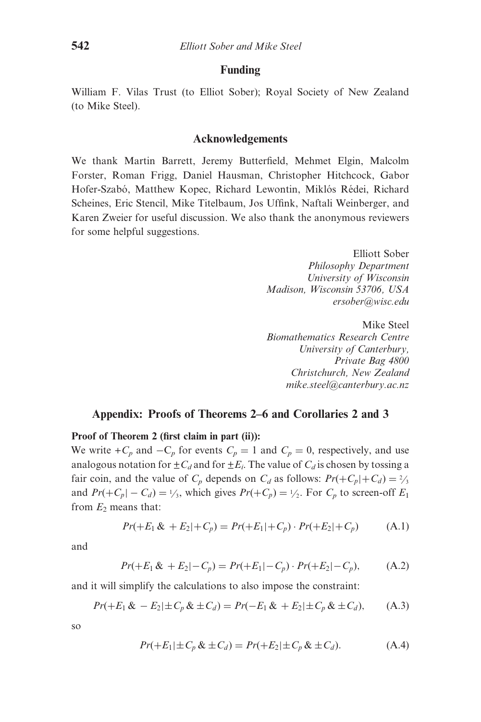#### Funding

William F. Vilas Trust (to Elliot Sober); Royal Society of New Zealand (to Mike Steel).

# Acknowledgements

We thank Martin Barrett, Jeremy Butterfield, Mehmet Elgin, Malcolm Forster, Roman Frigg, Daniel Hausman, Christopher Hitchcock, Gabor Hofer-Szabó, Matthew Kopec, Richard Lewontin, Miklós Rédei, Richard Scheines, Eric Stencil, Mike Titelbaum, Jos Uffink, Naftali Weinberger, and Karen Zweier for useful discussion. We also thank the anonymous reviewers for some helpful suggestions.

> Elliott Sober Philosophy Department University of Wisconsin Madison, Wisconsin 53706, USA ersober@wisc.edu

> Mike Steel Biomathematics Research Centre University of Canterbury, Private Bag 4800 Christchurch, New Zealand mike.steel@canterbury.ac.nz

# Appendix: Proofs of Theorems 2–6 and Corollaries 2 and 3

# Proof of Theorem 2 (first claim in part (ii)):

We write  $+C_p$  and  $-C_p$  for events  $C_p = 1$  and  $C_p = 0$ , respectively, and use analogous notation for  $\pm C_d$  and for  $\pm E_i$ . The value of  $C_d$  is chosen by tossing a fair coin, and the value of  $C_p$  depends on  $C_d$  as follows:  $Pr(+C_p|+C_d) = \frac{1}{2}$ and  $Pr(+C_p|-C_d) = \frac{1}{3}$ , which gives  $Pr(+C_p) = \frac{1}{2}$ . For  $C_p$  to screen-off  $E_1$ from  $E_2$  means that:

$$
Pr(+E_1 \& +E_2|+C_p) = Pr(+E_1|+C_p) \cdot Pr(+E_2|+C_p) \tag{A.1}
$$

and

$$
Pr(+E_1 \& +E_2|-C_p) = Pr(+E_1|-C_p) \cdot Pr(+E_2|-C_p), \tag{A.2}
$$

and it will simplify the calculations to also impose the constraint:

$$
Pr(+E_1 \& -E_2) \pm C_p \& \pm C_d) = Pr(-E_1 \& +E_2) \pm C_p \& \pm C_d), \tag{A.3}
$$

so

$$
Pr(+E_1 \mid \pm C_p \& \pm C_d) = Pr(+E_2 \mid \pm C_p \& \pm C_d). \tag{A.4}
$$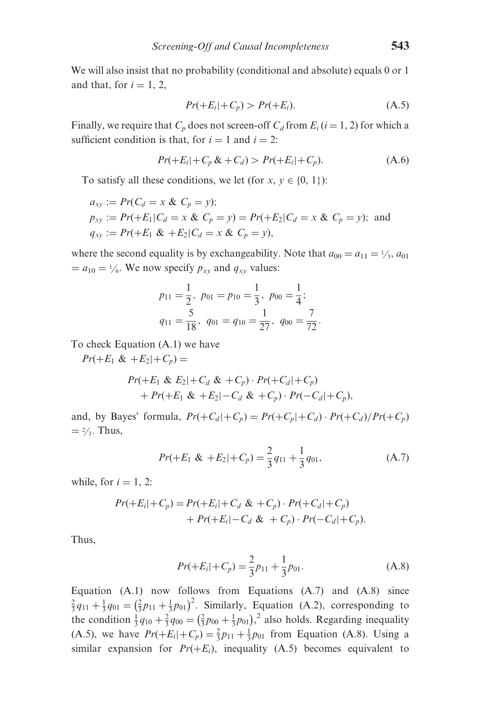We will also insist that no probability (conditional and absolute) equals 0 or 1 and that, for  $i = 1, 2$ ,

$$
Pr(+E_i| + C_p) > Pr(+E_i). \tag{A.5}
$$

Finally, we require that  $C_p$  does not screen-off  $C_d$  from  $E_i$  (i = 1, 2) for which a sufficient condition is that, for  $i = 1$  and  $i = 2$ :

$$
Pr(+E_i| + C_p \& + C_d) > Pr(+E_i| + C_p). \tag{A.6}
$$

To satisfy all these conditions, we let (for  $x, y \in \{0, 1\}$ ):

$$
\begin{aligned} a_{xy} &:= Pr(C_d = x \& C_p = y); \\ p_{xy} &:= Pr(+E_1|C_d = x \& C_p = y) = Pr(+E_2|C_d = x \& C_p = y); \text{ and } \\ q_{xy} &:= Pr(+E_1 \& +E_2|C_d = x \& C_p = y), \end{aligned}
$$

where the second equality is by exchangeability. Note that  $a_{00} = a_{11} = \frac{1}{3}$ ,  $a_{01}$  $= a_{10} = \frac{1}{6}$ . We now specify  $p_{xy}$  and  $q_{xy}$  values:

$$
p_{11} = \frac{1}{2}, \ p_{01} = p_{10} = \frac{1}{3}, \ p_{00} = \frac{1}{4};
$$
  

$$
q_{11} = \frac{5}{18}, \ q_{01} = q_{10} = \frac{1}{27}, \ q_{00} = \frac{7}{72}.
$$

To check Equation (A.1) we have

 $Pr(+E_1 \& +E_2|+C_p)=$ 

$$
Pr(+E_1 \& E_2|+C_d \& +C_p) \cdot Pr(+C_d|+C_p) + Pr(+E_1 \& +E_2|-C_d \& +C_p) \cdot Pr(-C_d|+C_p),
$$

and, by Bayes' formula,  $Pr(+C_d|+C_p) = Pr(+C_p|+C_d) \cdot Pr(+C_d)/Pr(+C_p)$  $=$   $\frac{2}{\lambda}$ . Thus,

$$
Pr(+E_1 \& +E_2|+C_p) = \frac{2}{3}q_{11} + \frac{1}{3}q_{01},
$$
 (A.7)

while, for  $i = 1, 2$ :

$$
Pr(+E_i| + C_p) = Pr(+E_i| + C_d \& + C_p) \cdot Pr(+C_d| + C_p) \\
 + Pr(+E_i| - C_d \& + C_p) \cdot Pr(-C_d| + C_p).
$$

Thus,

$$
Pr(+E_i| + C_p) = \frac{2}{3}p_{11} + \frac{1}{3}p_{01}.
$$
 (A.8)

Equation  $(A.1)$  now follows from Equations  $(A.7)$  and  $(A.8)$  since  $\frac{2}{3}q_{11} + \frac{1}{3}q_{01} = (\frac{2}{3}p_{11} + \frac{1}{3}p_{01})^2$ . Similarly, Equation (A.2), corresponding to the condition  $\frac{1}{3}q_{10} + \frac{2}{3}q_{00} = (\frac{2}{3}p_{00} + \frac{1}{3}p_{01})^2$  also holds. Regarding inequality (A.5), we have  $Pr(+E_i|+C_p) = \frac{2}{3}p_{11} + \frac{1}{3}p_{01}$  from Equation (A.8). Using a similar expansion for  $Pr(+E_i)$ , inequality (A.5) becomes equivalent to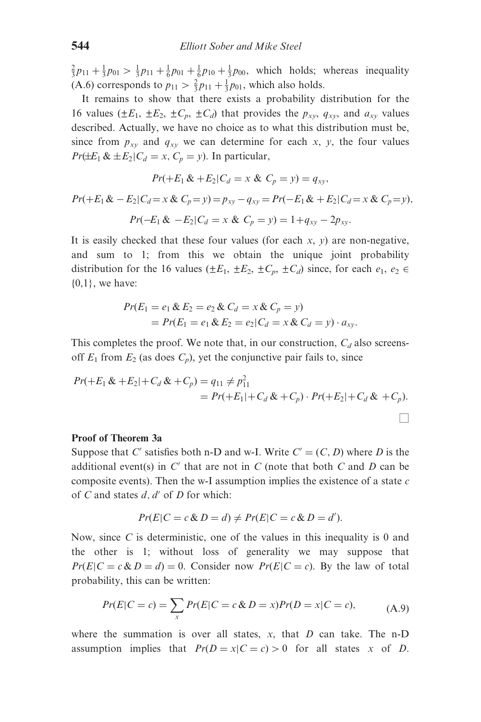$\frac{2}{3}p_{11} + \frac{1}{3}p_{01} > \frac{1}{3}p_{11} + \frac{1}{6}p_{01} + \frac{1}{6}p_{10} + \frac{1}{3}p_{00}$ , which holds; whereas inequality (A.6) corresponds to  $p_{11} > \frac{2}{3}p_{11} + \frac{1}{3}p_{01}$ , which also holds.

It remains to show that there exists a probability distribution for the 16 values ( $\pm E_1$ ,  $\pm E_2$ ,  $\pm C_p$ ,  $\pm C_d$ ) that provides the  $p_{xy}$ ,  $q_{xy}$ , and  $a_{xy}$  values described. Actually, we have no choice as to what this distribution must be, since from  $p_{xy}$  and  $q_{xy}$  we can determine for each x, y, the four values  $Pr(\pm E_1 \& \pm E_2 | C_d = x, C_p = y)$ . In particular,

$$
Pr(+E_1 \& +E_2|C_d = x \& C_p = y) = q_{xy},
$$
\n
$$
Pr(+E_1 \& -E_2|C_d = x \& C_p = y) = p_{xy} - q_{xy} = Pr(-E_1 \& +E_2|C_d = x \& C_p = y),
$$
\n
$$
Pr(-E_1 \& -E_2|C_d = x \& C_p = y) = 1 + q_{xy} - 2p_{xy}.
$$

It is easily checked that these four values (for each  $x$ ,  $y$ ) are non-negative, and sum to 1; from this we obtain the unique joint probability distribution for the 16 values  $(\pm E_1, \pm E_2, \pm C_p, \pm C_d)$  since, for each  $e_1, e_2 \in$  $\{0,1\}$ , we have:

$$
Pr(E_1 = e_1 \& E_2 = e_2 \& C_d = x \& C_p = y)
$$
  
= 
$$
Pr(E_1 = e_1 \& E_2 = e_2 | C_d = x \& C_d = y) \cdot a_{xy}.
$$

This completes the proof. We note that, in our construction,  $C_d$  also screensoff  $E_1$  from  $E_2$  (as does  $C_p$ ), yet the conjunctive pair fails to, since

$$
Pr(+E_1 \& +E_2|+C_d \& +C_p) = q_{11} \neq p_{11}^2
$$
\n
$$
= Pr(+E_1|+C_d \& +C_p) \cdot Pr(+E_2|+C_d \& +C_p).
$$

#### Proof of Theorem 3a

Suppose that C' satisfies both n-D and w-I. Write  $C' = (C, D)$  where D is the additional event(s) in  $C'$  that are not in  $C$  (note that both  $C$  and  $D$  can be composite events). Then the w-I assumption implies the existence of a state  $c$ of C and states  $d, d'$  of D for which:

$$
Pr(E|C = c \& D = d) \neq Pr(E|C = c \& D = d').
$$

Now, since  $C$  is deterministic, one of the values in this inequality is 0 and the other is 1; without loss of generality we may suppose that  $Pr(E|C = c \& D = d) = 0$ . Consider now  $Pr(E|C = c)$ . By the law of total probability, this can be written:

$$
Pr(E|C = c) = \sum_{x} Pr(E|C = c \& D = x) Pr(D = x|C = c),
$$
 (A.9)

where the summation is over all states,  $x$ , that  $D$  can take. The n-D assumption implies that  $Pr(D = x | C = c) > 0$  for all states x of D.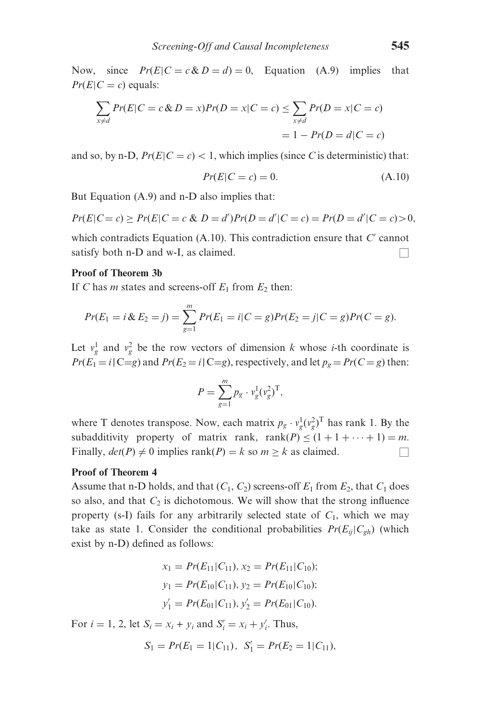Now, since  $Pr(E|C = c \& D = d) = 0$ , Equation (A.9) implies that  $Pr(E|C = c)$  equals:

$$
\sum_{x \neq d} Pr(E|C = c \& D = x)Pr(D = x|C = c) \le \sum_{x \neq d} Pr(D = x|C = c) = 1 - Pr(D = d|C = c)
$$

and so, by n-D,  $Pr(E|C = c) < 1$ , which implies (since C is deterministic) that:

$$
Pr(E|C=c) = 0.\tag{A.10}
$$

But Equation (A.9) and n-D also implies that:

$$
Pr(E|C = c) \ge Pr(E|C = c \& D = d')Pr(D = d'|C = c) = Pr(D = d'|C = c) > 0,
$$

which contradicts Equation (A.10). This contradiction ensure that  $C'$  cannot satisfy both  $n-D$  and  $w-I$ , as claimed.

# Proof of Theorem 3b

If C has m states and screens-off  $E_1$  from  $E_2$  then:

$$
Pr(E_1 = i \& E_2 = j) = \sum_{g=1}^{m} Pr(E_1 = i | C = g) Pr(E_2 = j | C = g) Pr(C = g).
$$

Let  $v_g^1$  and  $v_g^2$  be the row vectors of dimension k whose *i*-th coordinate is  $Pr(E_1 = i | C = g)$  and  $Pr(E_2 = i | C = g)$ , respectively, and let  $p_g = Pr(C = g)$  then:

$$
P = \sum_{g=1}^{m} p_g \cdot v_g^1(v_g^2)^T,
$$

where T denotes transpose. Now, each matrix  $p_g \cdot v_g^1(v_g^2)^T$  has rank 1. By the subadditivity property of matrix rank,  $rank(P) \leq (1 + 1 + \cdots + 1) = m$ . Finally,  $det(P) \neq 0$  implies rank $(P) = k$  so  $m \geq k$  as claimed.

## Proof of Theorem 4

Assume that n-D holds, and that  $(C_1, C_2)$  screens-off  $E_1$  from  $E_2$ , that  $C_1$  does so also, and that  $C_2$  is dichotomous. We will show that the strong influence property (s-I) fails for any arbitrarily selected state of  $C_1$ , which we may take as state 1. Consider the conditional probabilities  $Pr(E_{ij}|C_{gh})$  (which exist by n-D) defined as follows:

$$
x_1 = Pr(E_{11}|C_{11}), x_2 = Pr(E_{11}|C_{10});
$$
  
\n
$$
y_1 = Pr(E_{10}|C_{11}), y_2 = Pr(E_{10}|C_{10});
$$
  
\n
$$
y'_1 = Pr(E_{01}|C_{11}), y'_2 = Pr(E_{01}|C_{10}).
$$

For  $i = 1, 2$ , let  $S_i = x_i + y_i$  and  $S'_i = x_i + y'_i$ . Thus,

$$
S_1 = Pr(E_1 = 1 | C_{11}), \ S'_1 = Pr(E_2 = 1 | C_{11}),
$$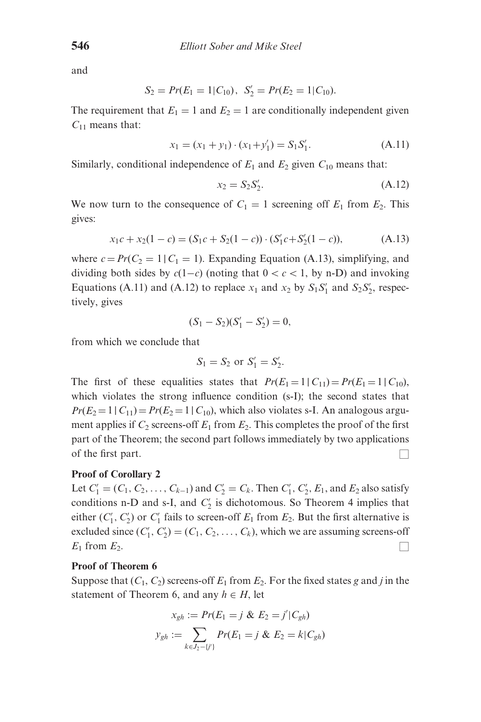and

$$
S_2 = Pr(E_1 = 1 | C_{10}), S'_2 = Pr(E_2 = 1 | C_{10}).
$$

The requirement that  $E_1 = 1$  and  $E_2 = 1$  are conditionally independent given  $C_{11}$  means that:

$$
x_1 = (x_1 + y_1) \cdot (x_1 + y_1') = S_1 S_1'.
$$
 (A.11)

Similarly, conditional independence of  $E_1$  and  $E_2$  given  $C_{10}$  means that:

$$
x_2 = S_2 S_2'.
$$
 (A.12)

We now turn to the consequence of  $C_1 = 1$  screening off  $E_1$  from  $E_2$ . This gives:

$$
x_1c + x_2(1 - c) = (S_1c + S_2(1 - c)) \cdot (S'_1c + S'_2(1 - c)),
$$
 (A.13)

where  $c = Pr(C_2 = 1 | C_1 = 1)$ . Expanding Equation (A.13), simplifying, and dividing both sides by  $c(1-c)$  (noting that  $0 < c < 1$ , by n-D) and invoking Equations (A.11) and (A.12) to replace  $x_1$  and  $x_2$  by  $S_1S'_1$  and  $S_2S'_2$ , respectively, gives

$$
(S_1 - S_2)(S_1' - S_2') = 0,
$$

from which we conclude that

$$
S_1 = S_2
$$
 or  $S'_1 = S'_2$ .

The first of these equalities states that  $Pr(E_1 = 1 | C_{11}) = Pr(E_1 = 1 | C_{10}),$ which violates the strong influence condition (s-I); the second states that  $Pr(E_2 = 1 | C_{11}) = Pr(E_2 = 1 | C_{10})$ , which also violates s-I. An analogous argument applies if  $C_2$  screens-off  $E_1$  from  $E_2$ . This completes the proof of the first part of the Theorem; the second part follows immediately by two applications of the first part.

# Proof of Corollary 2

Let  $C_1' = (C_1, C_2, \dots, C_{k-1})$  and  $C_2' = C_k$ . Then  $C_1', C_2', E_1$ , and  $E_2$  also satisfy conditions n-D and s-I, and  $C_2$  is dichotomous. So Theorem 4 implies that either  $(C_1', C_2')$  or  $C_1'$  fails to screen-off  $E_1$  from  $E_2$ . But the first alternative is excluded since  $(C'_1, C'_2) = (C_1, C_2, \ldots, C_k)$ , which we are assuming screens-off  $E_1$  from  $E_2$ .

# Proof of Theorem 6

Suppose that  $(C_1, C_2)$  screens-off  $E_1$  from  $E_2$ . For the fixed states g and j in the statement of Theorem 6, and any  $h \in H$ , let

$$
x_{gh} := Pr(E_1 = j \& E_2 = j' | C_{gh})
$$
  

$$
y_{gh} := \sum_{k \in J_2 - \{j'\}} Pr(E_1 = j \& E_2 = k | C_{gh})
$$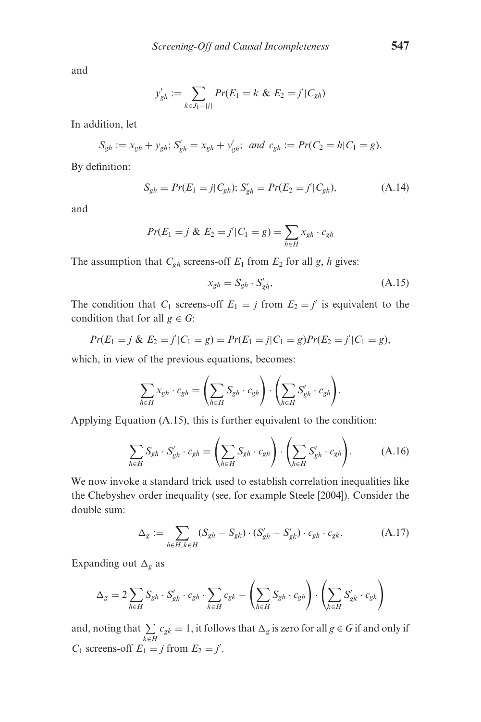and

$$
y'_{gh} := \sum_{k \in J_1 - \{j\}} Pr(E_1 = k \& E_2 = j' | C_{gh})
$$

In addition, let

$$
S_{gh} := x_{gh} + y_{gh}; S'_{gh} = x_{gh} + y'_{gh}; \text{ and } c_{gh} := Pr(C_2 = h|C_1 = g).
$$

By definition:

$$
S_{gh} = Pr(E_1 = j | C_{gh}); S'_{gh} = Pr(E_2 = j' | C_{gh}),
$$
\n(A.14)

and

$$
Pr(E_1 = j \& E_2 = j' | C_1 = g) = \sum_{h \in H} x_{gh} \cdot c_{gh}
$$

The assumption that  $C_{gh}$  screens-off  $E_1$  from  $E_2$  for all g, h gives:

$$
x_{gh} = S_{gh} \cdot S'_{gh},\tag{A.15}
$$

The condition that  $C_1$  screens-off  $E_1 = j$  from  $E_2 = j'$  is equivalent to the condition that for all  $g \in G$ :

$$
Pr(E_1 = j \& E_2 = j' | C_1 = g) = Pr(E_1 = j | C_1 = g) Pr(E_2 = j' | C_1 = g),
$$

which, in view of the previous equations, becomes:

$$
\sum_{h\in H} x_{gh} \cdot c_{gh} = \left(\sum_{h\in H} S_{gh} \cdot c_{gh}\right) \cdot \left(\sum_{h\in H} S'_{gh} \cdot c_{gh}\right).
$$

Applying Equation (A.15), this is further equivalent to the condition:

$$
\sum_{h \in H} S_{gh} \cdot S'_{gh} \cdot c_{gh} = \left(\sum_{h \in H} S_{gh} \cdot c_{gh}\right) \cdot \left(\sum_{h \in H} S'_{gh} \cdot c_{gh}\right). \tag{A.16}
$$

We now invoke a standard trick used to establish correlation inequalities like the Chebyshev order inequality (see, for example [Steele \[2004\]](#page-37-0)). Consider the double sum:

$$
\Delta_g := \sum_{h \in H, k \in H} (S_{gh} - S_{gh}) \cdot (S'_{gh} - S'_{gh}) \cdot c_{gh} \cdot c_{gk}.
$$
\n(A.17)

Expanding out  $\Delta_g$  as

$$
\Delta_g = 2 \sum_{h \in H} S_{gh} \cdot S'_{gh} \cdot c_{gh} \cdot \sum_{k \in H} c_{gk} - \left( \sum_{h \in H} S_{gh} \cdot c_{gh} \right) \cdot \left( \sum_{k \in H} S'_{gk} \cdot c_{gk} \right)
$$

and, noting that  $\sum_{k \in H} c_{gk} = 1$ , it follows that  $\Delta_g$  is zero for all  $g \in G$  if and only if  $C_1$  screens-off  $E_1 = j$  from  $E_2 = j'$ .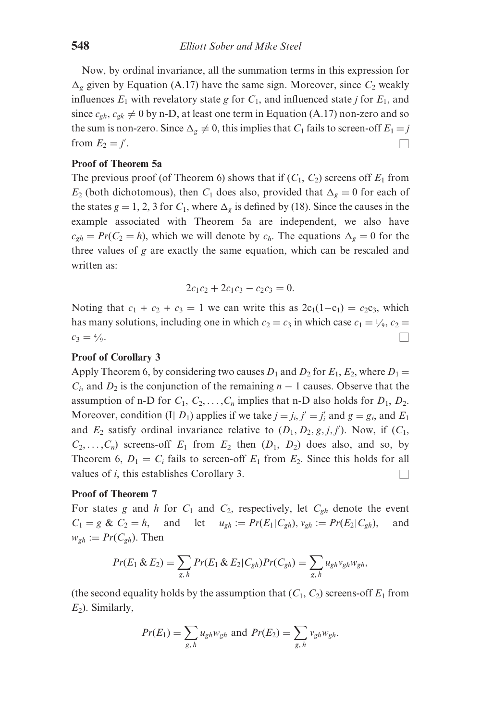Now, by ordinal invariance, all the summation terms in this expression for  $\Delta_g$  given by Equation (A.17) have the same sign. Moreover, since  $C_2$  weakly influences  $E_1$  with revelatory state g for  $C_1$ , and influenced state j for  $E_1$ , and since  $c_{eh}$ ,  $c_{ek} \neq 0$  by n-D, at least one term in Equation (A.17) non-zero and so the sum is non-zero. Since  $\Delta_g \neq 0$ , this implies that  $C_1$  fails to screen-off  $E_1 = j$ from  $E_2 = j'$ . The contract of the contract of the contract of the contract of the contract of the contract of the contract of the contract of the contract of the contract of the contract of the contract of the contract of the contrac

#### Proof of Theorem 5a

The previous proof (of Theorem 6) shows that if  $(C_1, C_2)$  screens off  $E_1$  from  $E_2$  (both dichotomous), then  $C_1$  does also, provided that  $\Delta_g = 0$  for each of the states  $g = 1, 2, 3$  for  $C_1$ , where  $\Delta_g$  is defined by (18). Since the causes in the example associated with Theorem 5a are independent, we also have  $c_{gh} = Pr(C_2 = h)$ , which we will denote by  $c_h$ . The equations  $\Delta_g = 0$  for the three values of  $g$  are exactly the same equation, which can be rescaled and written as:

$$
2c_1c_2 + 2c_1c_3 - c_2c_3 = 0.
$$

Noting that  $c_1 + c_2 + c_3 = 1$  we can write this as  $2c_1(1-c_1) = c_2c_3$ , which has many solutions, including one in which  $c_2 = c_3$  in which case  $c_1 = \frac{1}{2}$ ,  $c_2 = \frac{1}{2}$  $c_3 = \frac{4}{9}$ .

# Proof of Corollary 3

Apply Theorem 6, by considering two causes  $D_1$  and  $D_2$  for  $E_1, E_2$ , where  $D_1 =$  $C_i$ , and  $D_2$  is the conjunction of the remaining  $n - 1$  causes. Observe that the assumption of n-D for  $C_1, C_2, \ldots, C_n$  implies that n-D also holds for  $D_1, D_2$ . Moreover, condition (I|  $D_1$ ) applies if we take  $j = j_i$ ,  $j' = j'_i$  and  $g = g_i$ , and  $E_1$ and  $E_2$  satisfy ordinal invariance relative to  $(D_1, D_2, g, j, j')$ . Now, if  $(C_1, D_2, g, j, j')$  $C_2, \ldots, C_n$  screens-off  $E_1$  from  $E_2$  then  $(D_1, D_2)$  does also, and so, by Theorem 6,  $D_1 = C_i$  fails to screen-off  $E_1$  from  $E_2$ . Since this holds for all values of *i*, this establishes Corollary 3.

#### Proof of Theorem 7

For states g and h for  $C_1$  and  $C_2$ , respectively, let  $C_{gh}$  denote the event  $C_1 = g \& C_2 = h$ , and let  $u_{gh} := Pr(E_1|C_{gh})$ ,  $v_{gh} := Pr(E_2|C_{gh})$ , and  $w_{gh} := Pr(C_{gh})$ . Then

$$
Pr(E_1 \& E_2) = \sum_{g,h} Pr(E_1 \& E_2 | C_{gh}) Pr(C_{gh}) = \sum_{g,h} u_{gh} v_{gh} w_{gh},
$$

(the second equality holds by the assumption that  $(C_1, C_2)$  screens-off  $E_1$  from  $E_2$ ). Similarly,

$$
Pr(E_1) = \sum_{g, h} u_{gh} w_{gh}
$$
 and  $Pr(E_2) = \sum_{g, h} v_{gh} w_{gh}$ .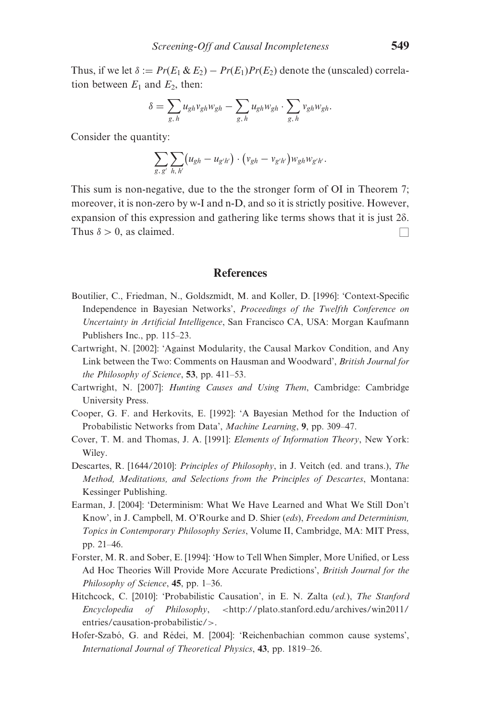<span id="page-36-0"></span>Thus, if we let  $\delta := Pr(E_1 \& E_2) - Pr(E_1)Pr(E_2)$  denote the (unscaled) correlation between  $E_1$  and  $E_2$ , then:

$$
\delta = \sum_{g,h} u_{gh} v_{gh} w_{gh} - \sum_{g,h} u_{gh} w_{gh} \cdot \sum_{g,h} v_{gh} w_{gh}.
$$

Consider the quantity:

$$
\sum_{g, g'} \sum_{h, h'} (u_{gh} - u_{g'h'}) \cdot (v_{gh} - v_{g'h'}) w_{gh} w_{g'h'}.
$$

This sum is non-negative, due to the the stronger form of OI in Theorem 7; moreover, it is non-zero by w-I and n-D, and so it is strictly positive. However, expansion of this expression and gathering like terms shows that it is just  $2\delta$ . Thus  $\delta > 0$ , as claimed.

# **References**

- Boutilier, C., Friedman, N., Goldszmidt, M. and Koller, D. [1996]: 'Context-Specific Independence in Bayesian Networks', Proceedings of the Twelfth Conference on Uncertainty in Artificial Intelligence, San Francisco CA, USA: Morgan Kaufmann Publishers Inc., pp. 115–23.
- Cartwright, N. [2002]: 'Against Modularity, the Causal Markov Condition, and Any Link between the Two: Comments on Hausman and Woodward', British Journal for the Philosophy of Science, 53, pp.  $411-53$ .
- Cartwright, N. [2007]: Hunting Causes and Using Them, Cambridge: Cambridge University Press.
- Cooper, G. F. and Herkovits, E. [1992]: 'A Bayesian Method for the Induction of Probabilistic Networks from Data', Machine Learning, 9, pp. 309–47.
- Cover, T. M. and Thomas, J. A. [1991]: Elements of Information Theory, New York: Wiley.
- Descartes, R. [1644/2010]: *Principles of Philosophy*, in J. Veitch (ed. and trans.), *The* Method, Meditations, and Selections from the Principles of Descartes, Montana: Kessinger Publishing.
- Earman, J. [2004]: 'Determinism: What We Have Learned and What We Still Don't Know', in J. Campbell, M. O'Rourke and D. Shier (eds), Freedom and Determinism, Topics in Contemporary Philosophy Series, Volume II, Cambridge, MA: MIT Press, pp. 21–46.
- Forster, M. R. and Sober, E. [1994]: 'How to Tell When Simpler, More Unified, or Less Ad Hoc Theories Will Provide More Accurate Predictions', British Journal for the Philosophy of Science, 45, pp. 1-36.
- Hitchcock, C. [2010]: 'Probabilistic Causation', in E. N. Zalta (ed.), The Stanford Encyclopedia of Philosophy, <http://plato.stanford.edu/archives/win2011/ entries/causation-probabilistic/>.
- Hofer-Szabó, G. and Rédei, M. [2004]: 'Reichenbachian common cause systems', International Journal of Theoretical Physics, 43, pp. 1819–26.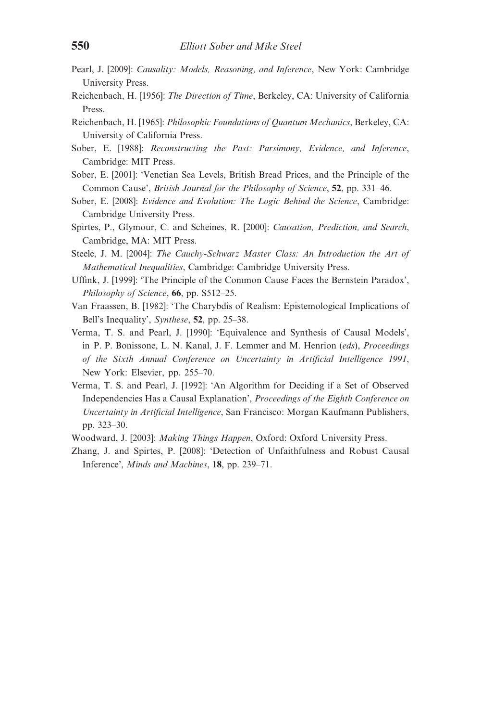- <span id="page-37-0"></span>Pearl, J. [2009]: Causality: Models, Reasoning, and Inference, New York: Cambridge University Press.
- Reichenbach, H. [1956]: The Direction of Time, Berkeley, CA: University of California Press.
- Reichenbach, H. [1965]: Philosophic Foundations of Quantum Mechanics, Berkeley, CA: University of California Press.
- Sober, E. [1988]: Reconstructing the Past: Parsimony, Evidence, and Inference, Cambridge: MIT Press.
- Sober, E. [2001]: 'Venetian Sea Levels, British Bread Prices, and the Principle of the Common Cause', British Journal for the Philosophy of Science, 52, pp. 331–46.
- Sober, E. [2008]: Evidence and Evolution: The Logic Behind the Science, Cambridge: Cambridge University Press.
- Spirtes, P., Glymour, C. and Scheines, R. [2000]: Causation, Prediction, and Search, Cambridge, MA: MIT Press.
- Steele, J. M. [2004]: The Cauchy-Schwarz Master Class: An Introduction the Art of Mathematical Inequalities, Cambridge: Cambridge University Press.
- Uffink, J. [1999]: 'The Principle of the Common Cause Faces the Bernstein Paradox', Philosophy of Science, 66, pp. S512–25.
- Van Fraassen, B. [1982]: 'The Charybdis of Realism: Epistemological Implications of Bell's Inequality', Synthese, 52, pp. 25–38.
- Verma, T. S. and Pearl, J. [1990]: 'Equivalence and Synthesis of Causal Models', in P. P. Bonissone, L. N. Kanal, J. F. Lemmer and M. Henrion (eds), Proceedings of the Sixth Annual Conference on Uncertainty in Artificial Intelligence 1991, New York: Elsevier, pp. 255–70.
- Verma, T. S. and Pearl, J. [1992]: 'An Algorithm for Deciding if a Set of Observed Independencies Has a Causal Explanation', Proceedings of the Eighth Conference on Uncertainty in Artificial Intelligence, San Francisco: Morgan Kaufmann Publishers, pp. 323–30.
- Woodward, J. [2003]: Making Things Happen, Oxford: Oxford University Press.
- Zhang, J. and Spirtes, P. [2008]: 'Detection of Unfaithfulness and Robust Causal Inference', Minds and Machines, 18, pp. 239–71.